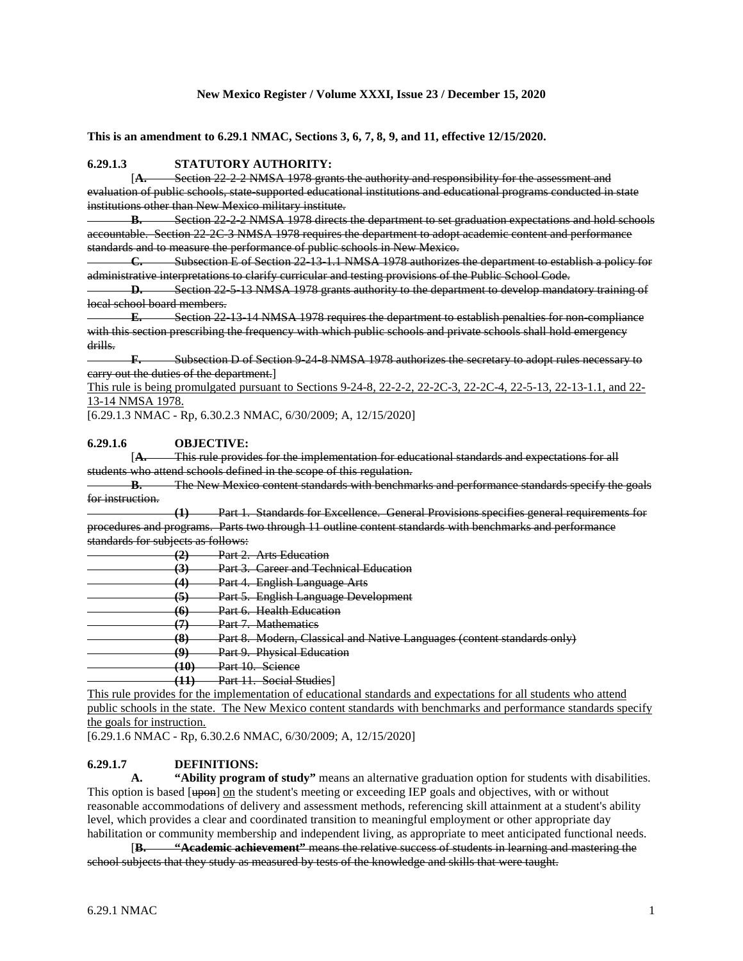## **New Mexico Register / Volume XXXI, Issue 23 / December 15, 2020**

**This is an amendment to 6.29.1 NMAC, Sections 3, 6, 7, 8, 9, and 11, effective 12/15/2020.**

## **6.29.1.3 STATUTORY AUTHORITY:**

[**A.** Section 22-2-2 NMSA 1978 grants the authority and responsibility for the assessment and evaluation of public schools, state-supported educational institutions and educational programs conducted in state institutions other than New Mexico military institute.

**B.** Section 22-2-2 NMSA 1978 directs the department to set graduation expectations and hold schools accountable. Section 22-2C-3 NMSA 1978 requires the department to adopt academic content and performance standards and to measure the performance of public schools in New Mexico.

**C.** Subsection E of Section 22-13-1.1 NMSA 1978 authorizes the department to establish a policy for administrative interpretations to clarify curricular and testing provisions of the Public School Code.

**D.** Section 22-5-13 NMSA 1978 grants authority to the department to develop mandatory training of local school board members.

**E.** Section 22-13-14 NMSA 1978 requires the department to establish penalties for non-compliance with this section prescribing the frequency with which public schools and private schools shall hold emergency drills.

**F.** Subsection D of Section 9-24-8 NMSA 1978 authorizes the secretary to adopt rules necessary to carry out the duties of the department.]

This rule is being promulgated pursuant to Sections 9-24-8, 22-2-2, 22-2C-3, 22-2C-4, 22-5-13, 22-13-1.1, and 22-13-14 NMSA 1978.

[6.29.1.3 NMAC - Rp, 6.30.2.3 NMAC, 6/30/2009; A, 12/15/2020]

## **6.29.1.6 OBJECTIVE:**

[**A.** This rule provides for the implementation for educational standards and expectations for all students who attend schools defined in the scope of this regulation.

**B.** The New Mexico content standards with benchmarks and performance standards specify the goals for instruction.

**(1)** Part 1. Standards for Excellence. General Provisions specifies general requirements for procedures and programs. Parts two through 11 outline content standards with benchmarks and performance standards for subjects as follows:

**(2)** Part 2. Arts Education

**(3)** Part 3. Career and Technical Education

**(4)** Part 4. English Language Arts

**(5)** Part 5. English Language Development

**(6)** Part 6. Health Education

**(7)** Part 7. Mathematics

**(8)** Part 8. Modern, Classical and Native Languages (content standards only)

**Part 9. Physical Education** 

**(10)** Part 10. Science

**(11)** Part 11. Social Studies]

This rule provides for the implementation of educational standards and expectations for all students who attend public schools in the state. The New Mexico content standards with benchmarks and performance standards specify the goals for instruction.

[6.29.1.6 NMAC - Rp, 6.30.2.6 NMAC, 6/30/2009; A, 12/15/2020]

# **6.29.1.7 DEFINITIONS:**

**A. "Ability program of study"** means an alternative graduation option for students with disabilities. This option is based [upon] on the student's meeting or exceeding IEP goals and objectives, with or without reasonable accommodations of delivery and assessment methods, referencing skill attainment at a student's ability level, which provides a clear and coordinated transition to meaningful employment or other appropriate day habilitation or community membership and independent living, as appropriate to meet anticipated functional needs.

[**B. "Academic achievement"** means the relative success of students in learning and mastering the school subjects that they study as measured by tests of the knowledge and skills that were taught.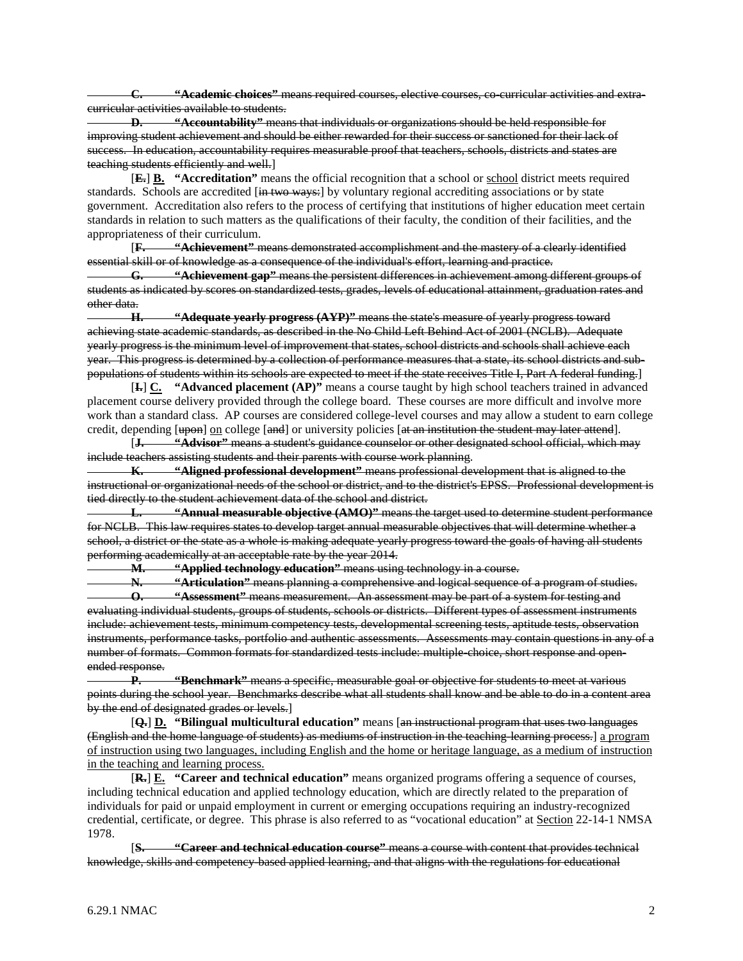**C. "Academic choices"** means required courses, elective courses, co-curricular activities and extracurricular activities available to students.

**D. "Accountability"** means that individuals or organizations should be held responsible for improving student achievement and should be either rewarded for their success or sanctioned for their lack of success. In education, accountability requires measurable proof that teachers, schools, districts and states are teaching students efficiently and well.]

[**E.**] **B. "Accreditation"** means the official recognition that a school or school district meets required standards. Schools are accredited [in two ways:] by voluntary regional accrediting associations or by state government. Accreditation also refers to the process of certifying that institutions of higher education meet certain standards in relation to such matters as the qualifications of their faculty, the condition of their facilities, and the appropriateness of their curriculum.

[**F. "Achievement"** means demonstrated accomplishment and the mastery of a clearly identified essential skill or of knowledge as a consequence of the individual's effort, learning and practice.

**G. "Achievement gap"** means the persistent differences in achievement among different groups of students as indicated by scores on standardized tests, grades, levels of educational attainment, graduation rates and other data.

**H. "Adequate yearly progress (AYP)"** means the state's measure of yearly progress toward achieving state academic standards, as described in the No Child Left Behind Act of 2001 (NCLB). Adequate yearly progress is the minimum level of improvement that states, school districts and schools shall achieve each year. This progress is determined by a collection of performance measures that a state, its school districts and subpopulations of students within its schools are expected to meet if the state receives Title I, Part A federal funding.]

[**I.**] **C. "Advanced placement (AP)"** means a course taught by high school teachers trained in advanced placement course delivery provided through the college board. These courses are more difficult and involve more work than a standard class. AP courses are considered college-level courses and may allow a student to earn college credit, depending [upon] on college [and] or university policies [at an institution the student may later attend].

[**J. "Advisor"** means a student's guidance counselor or other designated school official, which may include teachers assisting students and their parents with course work planning.

**K. "Aligned professional development"** means professional development that is aligned to the instructional or organizational needs of the school or district, and to the district's EPSS. Professional development is tied directly to the student achievement data of the school and district.

**L. "Annual measurable objective (AMO)"** means the target used to determine student performance for NCLB. This law requires states to develop target annual measurable objectives that will determine whether a school, a district or the state as a whole is making adequate yearly progress toward the goals of having all students performing academically at an acceptable rate by the year 2014.

**M. "Applied technology education"** means using technology in a course.

**N. "Articulation"** means planning a comprehensive and logical sequence of a program of studies.

**O. "Assessment"** means measurement. An assessment may be part of a system for testing and evaluating individual students, groups of students, schools or districts. Different types of assessment instruments include: achievement tests, minimum competency tests, developmental screening tests, aptitude tests, observation instruments, performance tasks, portfolio and authentic assessments. Assessments may contain questions in any of a number of formats. Common formats for standardized tests include: multiple-choice, short response and openended response.

**P. "Benchmark"** means a specific, measurable goal or objective for students to meet at various points during the school year. Benchmarks describe what all students shall know and be able to do in a content area by the end of designated grades or levels.]

[**Q.**] **D. "Bilingual multicultural education"** means [an instructional program that uses two languages (English and the home language of students) as mediums of instruction in the teaching-learning process.] a program of instruction using two languages, including English and the home or heritage language, as a medium of instruction in the teaching and learning process.

[**R.**] **E. "Career and technical education"** means organized programs offering a sequence of courses, including technical education and applied technology education, which are directly related to the preparation of individuals for paid or unpaid employment in current or emerging occupations requiring an industry-recognized credential, certificate, or degree. This phrase is also referred to as "vocational education" at Section 22-14-1 NMSA 1978.

[**S. "Career and technical education course"** means a course with content that provides technical knowledge, skills and competency-based applied learning, and that aligns with the regulations for educational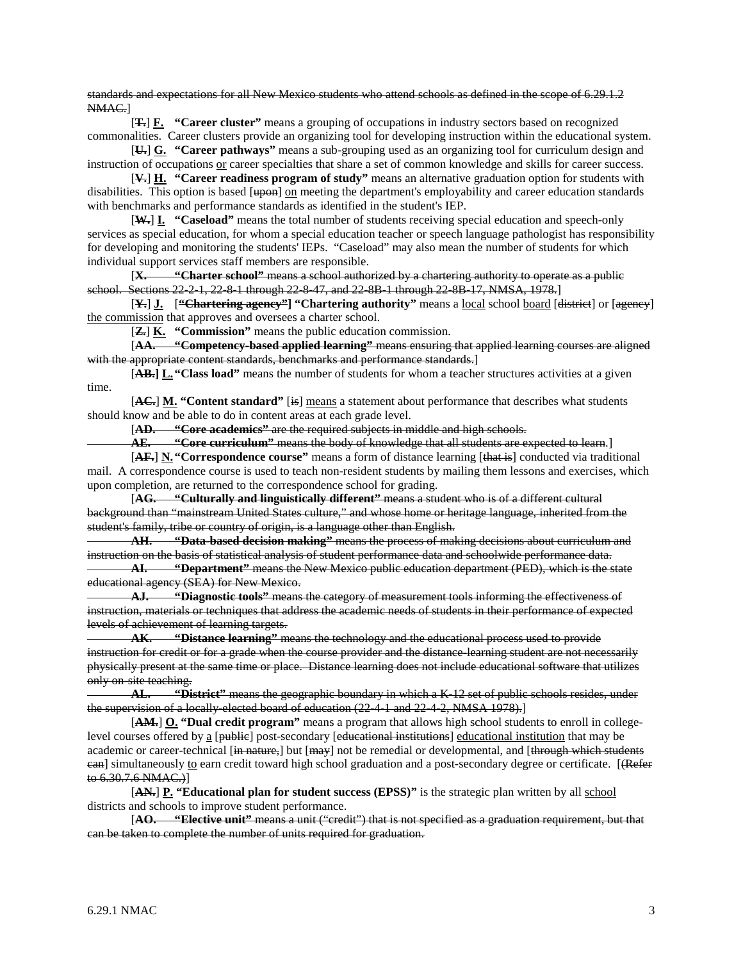standards and expectations for all New Mexico students who attend schools as defined in the scope of 6.29.1.2 NMAC.]

[**T.**] **F. "Career cluster"** means a grouping of occupations in industry sectors based on recognized commonalities. Career clusters provide an organizing tool for developing instruction within the educational system.

[**U.**] **G. "Career pathways"** means a sub-grouping used as an organizing tool for curriculum design and instruction of occupations or career specialties that share a set of common knowledge and skills for career success.

[**V.**] **H. "Career readiness program of study"** means an alternative graduation option for students with disabilities. This option is based  $[\frac{up}{up}{on}]$  on meeting the department's employability and career education standards with benchmarks and performance standards as identified in the student's IEP.

[**W.**] **I. "Caseload"** means the total number of students receiving special education and speech-only services as special education, for whom a special education teacher or speech language pathologist has responsibility for developing and monitoring the students' IEPs. "Caseload" may also mean the number of students for which individual support services staff members are responsible.

[**X. "Charter school"** means a school authorized by a chartering authority to operate as a public school. Sections 22-2-1, 22-8-1 through 22-8-47, and 22-8B-1 through 22-8B-17, NMSA, 1978.]

[**Y.**] **J.** [**"Chartering agency"] "Chartering authority"** means a local school board [district] or [agency] the commission that approves and oversees a charter school.

[**Z.**] **K. "Commission"** means the public education commission.

[**AA. "Competency-based applied learning"** means ensuring that applied learning courses are aligned with the appropriate content standards, benchmarks and performance standards.]

[**AB.] L."Class load"** means the number of students for whom a teacher structures activities at a given time.

[**AC.**] **M. "Content standard"** [is] means a statement about performance that describes what students should know and be able to do in content areas at each grade level.

[**AD. "Core academics"** are the required subjects in middle and high schools.

**AE. "Core curriculum"** means the body of knowledge that all students are expected to learn.]

[**AF.**] **N."Correspondence course"** means a form of distance learning [that is] conducted via traditional mail. A correspondence course is used to teach non-resident students by mailing them lessons and exercises, which upon completion, are returned to the correspondence school for grading.

[**AG. "Culturally and linguistically different"** means a student who is of a different cultural background than "mainstream United States culture," and whose home or heritage language, inherited from the student's family, tribe or country of origin, is a language other than English.

**AH. "Data-based decision making"** means the process of making decisions about curriculum and instruction on the basis of statistical analysis of student performance data and schoolwide performance data.

**AI. "Department"** means the New Mexico public education department (PED), which is the state educational agency (SEA) for New Mexico.

**AJ. "Diagnostic tools"** means the category of measurement tools informing the effectiveness of instruction, materials or techniques that address the academic needs of students in their performance of expected levels of achievement of learning targets.

**AK. "Distance learning"** means the technology and the educational process used to provide instruction for credit or for a grade when the course provider and the distance-learning student are not necessarily physically present at the same time or place. Distance learning does not include educational software that utilizes only on site teaching.

**AL. "District"** means the geographic boundary in which a K-12 set of public schools resides, under the supervision of a locally-elected board of education (22-4-1 and 22-4-2, NMSA 1978).]

[**AM.**] **O. "Dual credit program"** means a program that allows high school students to enroll in collegelevel courses offered by a [public] post-secondary [educational institutions] educational institution that may be academic or career-technical [in nature,] but [may] not be remedial or developmental, and [through which students ean] simultaneously to earn credit toward high school graduation and a post-secondary degree or certificate. [(Refer to 6.30.7.6 NMAC.)]

[**AN.**] **P. "Educational plan for student success (EPSS)"** is the strategic plan written by all school districts and schools to improve student performance.

[**AO. "Elective unit"** means a unit ("credit") that is not specified as a graduation requirement, but that can be taken to complete the number of units required for graduation.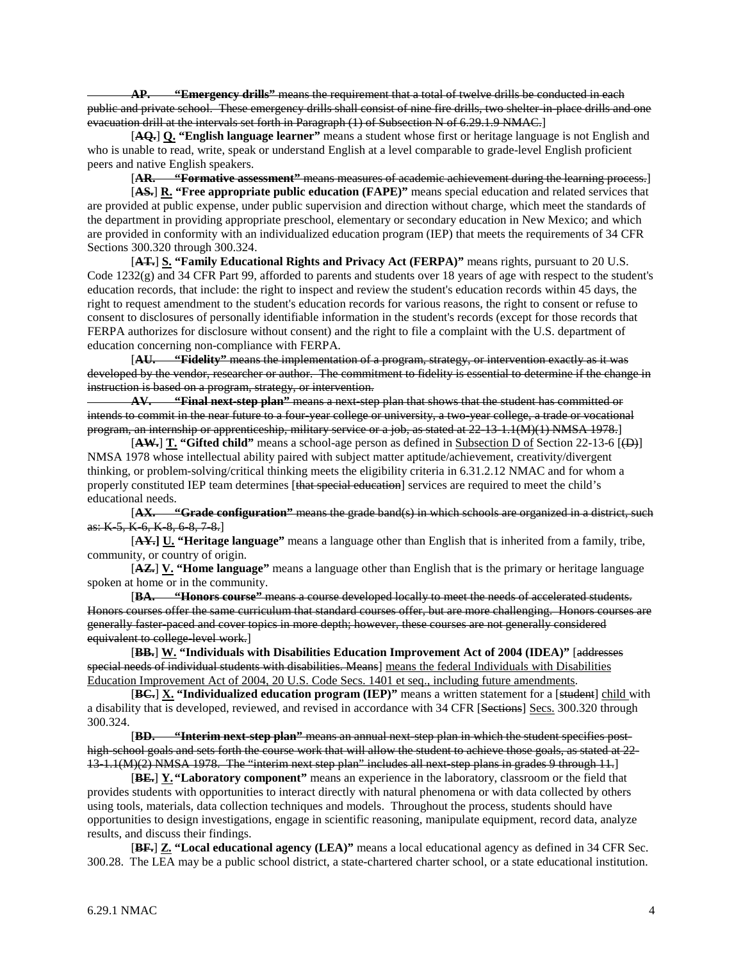**AP. "Emergency drills"** means the requirement that a total of twelve drills be conducted in each public and private school. These emergency drills shall consist of nine fire drills, two shelter-in-place drills and one evacuation drill at the intervals set forth in Paragraph (1) of Subsection N of 6.29.1.9 NMAC.]

[**AQ.**] **Q. "English language learner"** means a student whose first or heritage language is not English and who is unable to read, write, speak or understand English at a level comparable to grade-level English proficient peers and native English speakers.

[**AR. "Formative assessment"** means measures of academic achievement during the learning process.]

[**AS.**] **R. "Free appropriate public education (FAPE)"** means special education and related services that are provided at public expense, under public supervision and direction without charge, which meet the standards of the department in providing appropriate preschool, elementary or secondary education in New Mexico; and which are provided in conformity with an individualized education program (IEP) that meets the requirements of 34 CFR Sections 300.320 through 300.324.

[**AT.**] **S. "Family Educational Rights and Privacy Act (FERPA)"** means rights, pursuant to 20 U.S. Code  $1232(g)$  and 34 CFR Part 99, afforded to parents and students over 18 years of age with respect to the student's education records, that include: the right to inspect and review the student's education records within 45 days, the right to request amendment to the student's education records for various reasons, the right to consent or refuse to consent to disclosures of personally identifiable information in the student's records (except for those records that FERPA authorizes for disclosure without consent) and the right to file a complaint with the U.S. department of education concerning non-compliance with FERPA.

[**AU. "Fidelity"** means the implementation of a program, strategy, or intervention exactly as it was developed by the vendor, researcher or author. The commitment to fidelity is essential to determine if the change in instruction is based on a program, strategy, or intervention.

**AV. "Final next-step plan"** means a next-step plan that shows that the student has committed or intends to commit in the near future to a four-year college or university, a two-year college, a trade or vocational program, an internship or apprenticeship, military service or a job, as stated at 22-13-1.1(M)(1) NMSA 1978.]

 $[AM.]$  **T.** "Gifted child" means a school-age person as defined in Subsection D of Section 22-13-6  $[\oplus]$ NMSA 1978 whose intellectual ability paired with subject matter aptitude/achievement, creativity/divergent thinking, or problem-solving/critical thinking meets the eligibility criteria in 6.31.2.12 NMAC and for whom a properly constituted IEP team determines [that special education] services are required to meet the child's educational needs.

[**AX. "Grade configuration"** means the grade band(s) in which schools are organized in a district, such as: K 5, K 6, K 8, 6 8, 7 8.]

[**AY.] U. "Heritage language"** means a language other than English that is inherited from a family, tribe, community, or country of origin.

[**AZ.**] **V. "Home language"** means a language other than English that is the primary or heritage language spoken at home or in the community.

[**BA. "Honors course"** means a course developed locally to meet the needs of accelerated students. Honors courses offer the same curriculum that standard courses offer, but are more challenging. Honors courses are generally faster-paced and cover topics in more depth; however, these courses are not generally considered equivalent to college level work.]

[**BB.**] **W. "Individuals with Disabilities Education Improvement Act of 2004 (IDEA)"** [addresses special needs of individual students with disabilities. Means] means the federal Individuals with Disabilities Education Improvement Act of 2004, 20 U.S. Code Secs. 1401 et seq., including future amendments.

[**BC.**] **X. "Individualized education program (IEP)"** means a written statement for a [student] child with a disability that is developed, reviewed, and revised in accordance with 34 CFR [Sections] Secs. 300.320 through 300.324.

[**BD. "Interim next-step plan"** means an annual next-step plan in which the student specifies posthigh-school goals and sets forth the course work that will allow the student to achieve those goals, as stated at 22-13-1.1(M)(2) NMSA 1978. The "interim next step plan" includes all next-step plans in grades 9 through 11.]

[**BE.**] **Y."Laboratory component"** means an experience in the laboratory, classroom or the field that provides students with opportunities to interact directly with natural phenomena or with data collected by others using tools, materials, data collection techniques and models. Throughout the process, students should have opportunities to design investigations, engage in scientific reasoning, manipulate equipment, record data, analyze results, and discuss their findings.

[**BF.**] **Z. "Local educational agency (LEA)"** means a local educational agency as defined in 34 CFR Sec. 300.28. The LEA may be a public school district, a state-chartered charter school, or a state educational institution.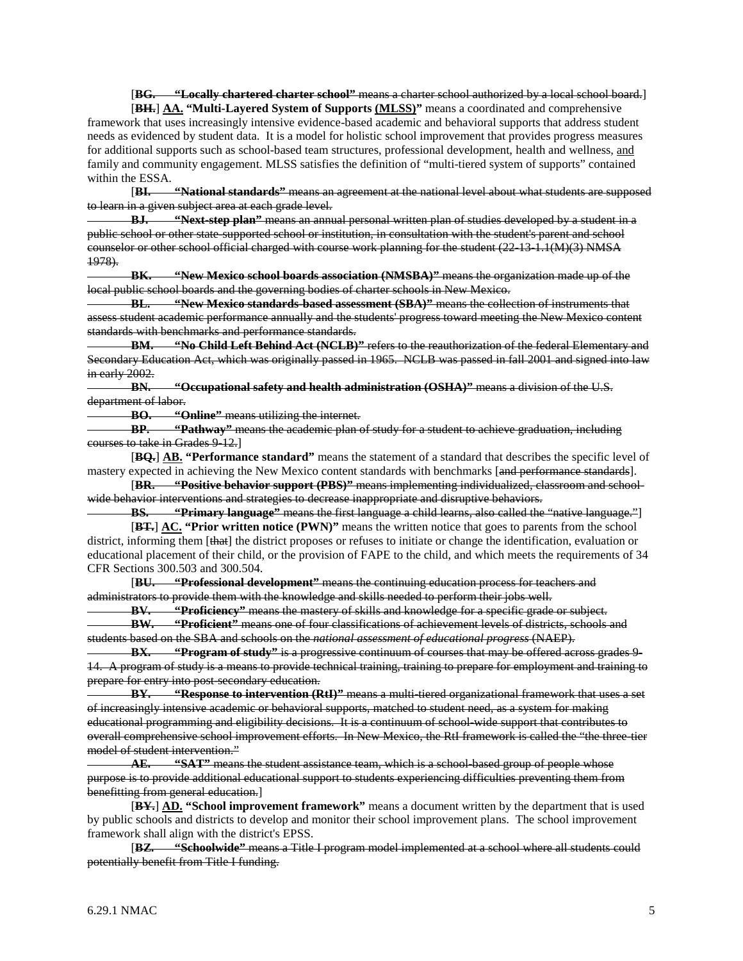[**BG. "Locally chartered charter school"** means a charter school authorized by a local school board.] [**BH.**] **AA. "Multi-Layered System of Supports (MLSS)"** means a coordinated and comprehensive

framework that uses increasingly intensive evidence-based academic and behavioral supports that address student needs as evidenced by student data. It is a model for holistic school improvement that provides progress measures for additional supports such as school-based team structures, professional development, health and wellness, and family and community engagement. MLSS satisfies the definition of "multi-tiered system of supports" contained within the ESSA.  $[B]$ .

[**BI. "National standards"** means an agreement at the national level about what students are supposed to learn in a given subject area at each grade level.

**BJ. "Next-step plan"** means an annual personal written plan of studies developed by a student in a public school or other state-supported school or institution, in consultation with the student's parent and school counselor or other school official charged with course work planning for the student (22-13-1.1(M)(3) NMSA 1978).

**BK. "New Mexico school boards association (NMSBA)"** means the organization made up of the local public school boards and the governing bodies of charter schools in New Mexico.

**BL. "New Mexico standards-based assessment (SBA)"** means the collection of instruments that assess student academic performance annually and the students' progress toward meeting the New Mexico content standards with benchmarks and performance standards.

**BM. "No Child Left Behind Act (NCLB)"** refers to the reauthorization of the federal Elementary and Secondary Education Act, which was originally passed in 1965. NCLB was passed in fall 2001 and signed into law in early 2002.

**BN. "Occupational safety and health administration (OSHA)"** means a division of the U.S. department of labor.<br>BO. "C

**BO. "Online"** means utilizing the internet.

**BP. "Pathway"** means the academic plan of study for a student to achieve graduation, including courses to take in Grades 9-12.]

[**BQ.**] **AB. "Performance standard"** means the statement of a standard that describes the specific level of mastery expected in achieving the New Mexico content standards with benchmarks [and performance standards].

[**BR. "Positive behavior support (PBS)"** means implementing individualized, classroom and schoolwide behavior interventions and strategies to decrease inappropriate and disruptive behaviors.

**BS. "Primary language"** means the first language a child learns, also called the "native language."] [**BT.**] **AC. "Prior written notice (PWN)"** means the written notice that goes to parents from the school district, informing them [that] the district proposes or refuses to initiate or change the identification, evaluation or educational placement of their child, or the provision of FAPE to the child, and which meets the requirements of 34 CFR Sections 300.503 and 300.504.

[**BU. "Professional development"** means the continuing education process for teachers and administrators to provide them with the knowledge and skills needed to perform their jobs well.<br>**BY.** "Proficiency" means the mastery of skills and knowledge for a specific grade

**BV. "Proficiency"** means the mastery of skills and knowledge for a specific grade or subject. **BW. "Proficient"** means one of four classifications of achievement levels of districts, schools and students based on the SBA and schools on the *national assessment of educational progress* (NAEP).

**BX. "Program of study"** is a progressive continuum of courses that may be offered across grades 9- 14. A program of study is a means to provide technical training, training to prepare for employment and training to prepare for entry into post-secondary education.

**BY. "Response to intervention (RtI)"** means a multi-tiered organizational framework that uses a set of increasingly intensive academic or behavioral supports, matched to student need, as a system for making educational programming and eligibility decisions. It is a continuum of school-wide support that contributes to overall comprehensive school improvement efforts. In New Mexico, the RtI framework is called the "the three-tier model of student intervention."

**AE. "SAT"** means the student assistance team, which is a school-based group of people whose purpose is to provide additional educational support to students experiencing difficulties preventing them from benefitting from general education.]

[**BY.**] **AD. "School improvement framework"** means a document written by the department that is used by public schools and districts to develop and monitor their school improvement plans. The school improvement framework shall align with the district's EPSS.

[**BZ. "Schoolwide"** means a Title I program model implemented at a school where all students could potentially benefit from Title I funding.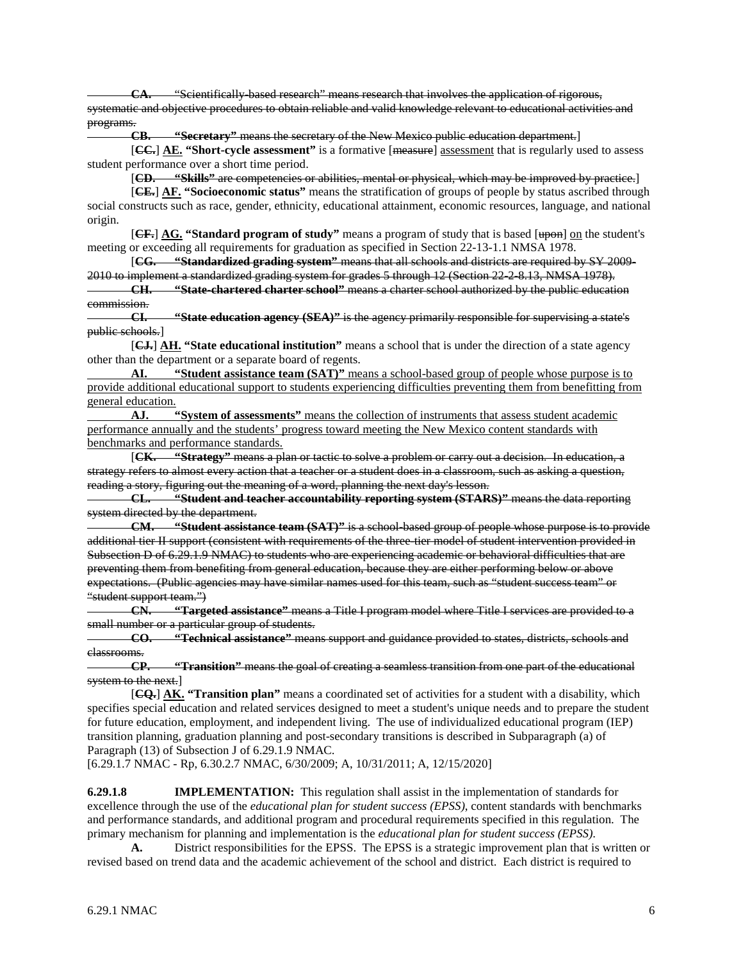"Scientifically based research" means research that involves the application of rigorous, systematic and objective procedures to obtain reliable and valid knowledge relevant to educational activities and programs.

**CB. "Secretary"** means the secretary of the New Mexico public education department.]

[**CC.**] **AE. "Short-cycle assessment"** is a formative [measure] assessment that is regularly used to assess student performance over a short time period.

[**CD. "Skills"** are competencies or abilities, mental or physical, which may be improved by practice.]

[**CE.**] **AF. "Socioeconomic status"** means the stratification of groups of people by status ascribed through social constructs such as race, gender, ethnicity, educational attainment, economic resources, language, and national origin.

**[CF.**] **AG. "Standard program of study"** means a program of study that is based [upon] on the student's meeting or exceeding all requirements for graduation as specified in Section 22-13-1.1 NMSA 1978.

[**CG. "Standardized grading system"** means that all schools and districts are required by SY 2009- 2010 to implement a standardized grading system for grades 5 through 12 (Section 22-2-8.13, NMSA 1978).

**CH. "State-chartered charter school"** means a charter school authorized by the public education commission.

**CI. "State education agency (SEA)"** is the agency primarily responsible for supervising a state's public schools.]

[**CJ.**] **AH. "State educational institution"** means a school that is under the direction of a state agency other than the department or a separate board of regents.

**AI. "Student assistance team (SAT)"** means a school-based group of people whose purpose is to provide additional educational support to students experiencing difficulties preventing them from benefitting from general education.

**AJ. "System of assessments"** means the collection of instruments that assess student academic performance annually and the students' progress toward meeting the New Mexico content standards with benchmarks and performance standards.

[**CK. "Strategy"** means a plan or tactic to solve a problem or carry out a decision. In education, a strategy refers to almost every action that a teacher or a student does in a classroom, such as asking a question, reading a story, figuring out the meaning of a word, planning the next day's lesson.

**CL. "Student and teacher accountability reporting system (STARS)"** means the data reporting system directed by the department.<br> **CM.** "Student assista

**"Student assistance team (SAT)"** is a school-based group of people whose purpose is to provide additional tier II support (consistent with requirements of the three-tier model of student intervention provided in Subsection D of 6.29.1.9 NMAC) to students who are experiencing academic or behavioral difficulties that are preventing them from benefiting from general education, because they are either performing below or above expectations. (Public agencies may have similar names used for this team, such as "student success team" or "student support team.")<br>CN. "Targe

**CN. "Targeted assistance"** means a Title I program model where Title I services are provided to a small number or a particular group of students.

**CO. "Technical assistance"** means support and guidance provided to states, districts, schools and classrooms.

**CP. "Transition"** means the goal of creating a seamless transition from one part of the educational system to the next.

[**CQ.**] **AK. "Transition plan"** means a coordinated set of activities for a student with a disability, which specifies special education and related services designed to meet a student's unique needs and to prepare the student for future education, employment, and independent living. The use of individualized educational program (IEP) transition planning, graduation planning and post-secondary transitions is described in Subparagraph (a) of Paragraph (13) of Subsection J of 6.29.1.9 NMAC.

[6.29.1.7 NMAC - Rp, 6.30.2.7 NMAC, 6/30/2009; A, 10/31/2011; A, 12/15/2020]

**6.29.1.8 IMPLEMENTATION:** This regulation shall assist in the implementation of standards for excellence through the use of the *educational plan for student success (EPSS)*, content standards with benchmarks and performance standards, and additional program and procedural requirements specified in this regulation. The primary mechanism for planning and implementation is the *educational plan for student success (EPSS)*.

**A.** District responsibilities for the EPSS. The EPSS is a strategic improvement plan that is written or revised based on trend data and the academic achievement of the school and district. Each district is required to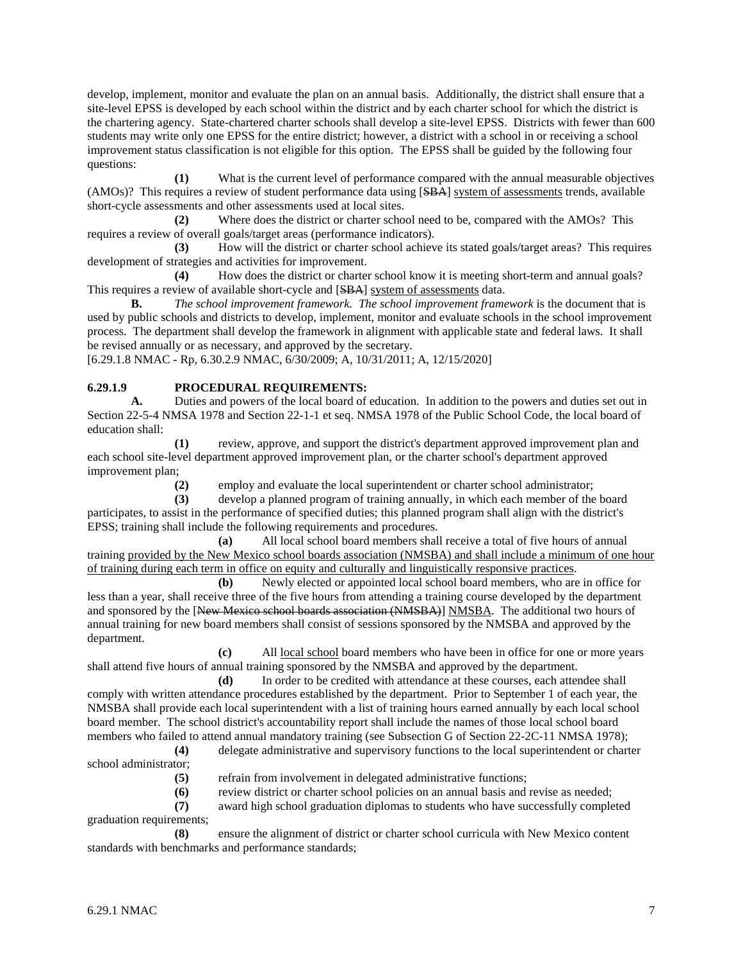develop, implement, monitor and evaluate the plan on an annual basis. Additionally, the district shall ensure that a site-level EPSS is developed by each school within the district and by each charter school for which the district is the chartering agency. State-chartered charter schools shall develop a site-level EPSS. Districts with fewer than 600 students may write only one EPSS for the entire district; however, a district with a school in or receiving a school improvement status classification is not eligible for this option. The EPSS shall be guided by the following four questions:

**(1)** What is the current level of performance compared with the annual measurable objectives (AMOs)? This requires a review of student performance data using [SBA] system of assessments trends, available short-cycle assessments and other assessments used at local sites.

**(2)** Where does the district or charter school need to be, compared with the AMOs? This requires a review of overall goals/target areas (performance indicators).

**(3)** How will the district or charter school achieve its stated goals/target areas? This requires development of strategies and activities for improvement.

**(4)** How does the district or charter school know it is meeting short-term and annual goals? This requires a review of available short-cycle and [SBA] system of assessments data.

**B.** *The school improvement framework. The school improvement framework* is the document that is used by public schools and districts to develop, implement, monitor and evaluate schools in the school improvement process. The department shall develop the framework in alignment with applicable state and federal laws. It shall be revised annually or as necessary, and approved by the secretary.

[6.29.1.8 NMAC - Rp, 6.30.2.9 NMAC, 6/30/2009; A, 10/31/2011; A, 12/15/2020]

# **6.29.1.9 PROCEDURAL REQUIREMENTS:**<br>**A.** Duties and powers of the local board of

**A.** Duties and powers of the local board of education. In addition to the powers and duties set out in Section 22-5-4 NMSA 1978 and Section 22-1-1 et seq. NMSA 1978 of the Public School Code, the local board of education shall:

**(1)** review, approve, and support the district's department approved improvement plan and each school site-level department approved improvement plan, or the charter school's department approved improvement plan;

**(2)** employ and evaluate the local superintendent or charter school administrator;

**(3)** develop a planned program of training annually, in which each member of the board participates, to assist in the performance of specified duties; this planned program shall align with the district's EPSS; training shall include the following requirements and procedures.

**(a)** All local school board members shall receive a total of five hours of annual training provided by the New Mexico school boards association (NMSBA) and shall include a minimum of one hour of training during each term in office on equity and culturally and linguistically responsive practices.

**(b)** Newly elected or appointed local school board members, who are in office for less than a year, shall receive three of the five hours from attending a training course developed by the department and sponsored by the [New Mexico school boards association (NMSBA)] NMSBA. The additional two hours of annual training for new board members shall consist of sessions sponsored by the NMSBA and approved by the department.

**(c)** All local school board members who have been in office for one or more years shall attend five hours of annual training sponsored by the NMSBA and approved by the department.

**(d)** In order to be credited with attendance at these courses, each attendee shall comply with written attendance procedures established by the department. Prior to September 1 of each year, the NMSBA shall provide each local superintendent with a list of training hours earned annually by each local school board member. The school district's accountability report shall include the names of those local school board members who failed to attend annual mandatory training (see Subsection G of Section 22-2C-11 NMSA 1978);

**(4)** delegate administrative and supervisory functions to the local superintendent or charter school administrator;

**(5)** refrain from involvement in delegated administrative functions;

**(6)** review district or charter school policies on an annual basis and revise as needed;

**(7)** award high school graduation diplomas to students who have successfully completed graduation requirements;

**(8)** ensure the alignment of district or charter school curricula with New Mexico content standards with benchmarks and performance standards;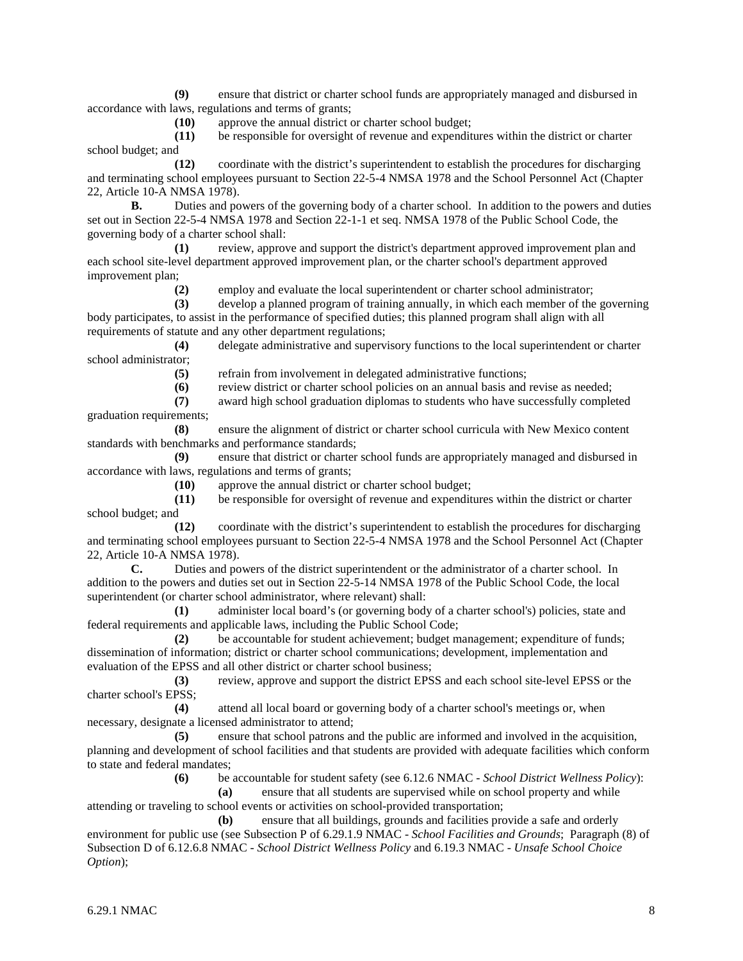**(9)** ensure that district or charter school funds are appropriately managed and disbursed in accordance with laws, regulations and terms of grants;

**(10)** approve the annual district or charter school budget;

**(11)** be responsible for oversight of revenue and expenditures within the district or charter school budget; and

**(12)** coordinate with the district's superintendent to establish the procedures for discharging and terminating school employees pursuant to Section 22-5-4 NMSA 1978 and the School Personnel Act (Chapter 22, Article 10-A NMSA 1978).

**B.** Duties and powers of the governing body of a charter school. In addition to the powers and duties set out in Section 22-5-4 NMSA 1978 and Section 22-1-1 et seq. NMSA 1978 of the Public School Code, the governing body of a charter school shall:

**(1)** review, approve and support the district's department approved improvement plan and each school site-level department approved improvement plan, or the charter school's department approved improvement plan;

**(2)** employ and evaluate the local superintendent or charter school administrator;

**(3)** develop a planned program of training annually, in which each member of the governing body participates, to assist in the performance of specified duties; this planned program shall align with all requirements of statute and any other department regulations;

**(4)** delegate administrative and supervisory functions to the local superintendent or charter school administrator;

**(5)** refrain from involvement in delegated administrative functions;

**(6)** review district or charter school policies on an annual basis and revise as needed;

**(7)** award high school graduation diplomas to students who have successfully completed graduation requirements;

**(8)** ensure the alignment of district or charter school curricula with New Mexico content standards with benchmarks and performance standards;

**(9)** ensure that district or charter school funds are appropriately managed and disbursed in accordance with laws, regulations and terms of grants;<br>(10) approve the annual district of

approve the annual district or charter school budget;

**(11)** be responsible for oversight of revenue and expenditures within the district or charter school budget; and

**(12)** coordinate with the district's superintendent to establish the procedures for discharging and terminating school employees pursuant to Section 22-5-4 NMSA 1978 and the School Personnel Act (Chapter 22, Article 10-A NMSA 1978).<br> **C.** Duties and po

**C.** Duties and powers of the district superintendent or the administrator of a charter school. In addition to the powers and duties set out in Section 22-5-14 NMSA 1978 of the Public School Code, the local superintendent (or charter school administrator, where relevant) shall:

**(1)** administer local board's (or governing body of a charter school's) policies, state and federal requirements and applicable laws, including the Public School Code;

**(2)** be accountable for student achievement; budget management; expenditure of funds; dissemination of information; district or charter school communications; development, implementation and evaluation of the EPSS and all other district or charter school business;

**(3)** review, approve and support the district EPSS and each school site-level EPSS or the charter school's EPSS;

**(4)** attend all local board or governing body of a charter school's meetings or, when necessary, designate a licensed administrator to attend;

**(5)** ensure that school patrons and the public are informed and involved in the acquisition, planning and development of school facilities and that students are provided with adequate facilities which conform to state and federal mandates;

**(6)** be accountable for student safety (see 6.12.6 NMAC - *School District Wellness Policy*):

**(a)** ensure that all students are supervised while on school property and while attending or traveling to school events or activities on school-provided transportation;

**(b)** ensure that all buildings, grounds and facilities provide a safe and orderly environment for public use (see Subsection P of 6.29.1.9 NMAC - *School Facilities and Grounds*; Paragraph (8) of Subsection D of 6.12.6.8 NMAC - *School District Wellness Policy* and 6.19.3 NMAC - *Unsafe School Choice Option*);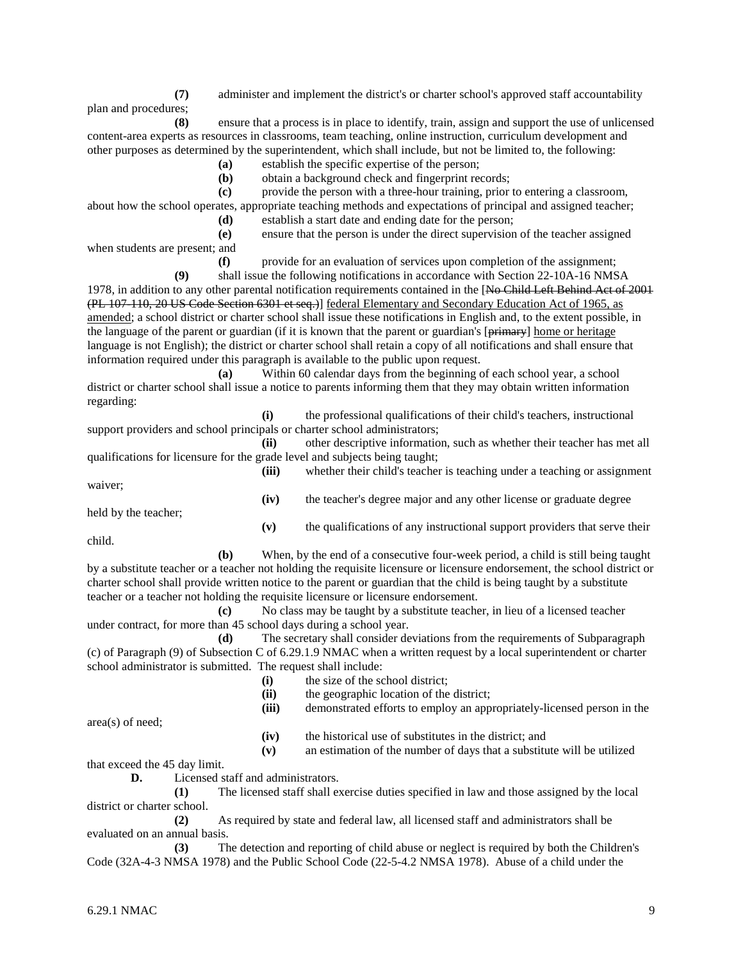**(7)** administer and implement the district's or charter school's approved staff accountability plan and procedures;

**(8)** ensure that a process is in place to identify, train, assign and support the use of unlicensed content-area experts as resources in classrooms, team teaching, online instruction, curriculum development and other purposes as determined by the superintendent, which shall include, but not be limited to, the following:

**(a)** establish the specific expertise of the person;

**(b)** obtain a background check and fingerprint records;

**(c)** provide the person with a three-hour training, prior to entering a classroom, about how the school operates, appropriate teaching methods and expectations of principal and assigned teacher;

**(d)** establish a start date and ending date for the person;

**(e)** ensure that the person is under the direct supervision of the teacher assigned

when students are present; and

**(f)** provide for an evaluation of services upon completion of the assignment;

**(9)** shall issue the following notifications in accordance with Section 22-10A-16 NMSA 1978, in addition to any other parental notification requirements contained in the [No Child Left Behind Act of 2001 (PL 107-110, 20 US Code Section 6301 et seq.)] federal Elementary and Secondary Education Act of 1965, as amended; a school district or charter school shall issue these notifications in English and, to the extent possible, in the language of the parent or guardian (if it is known that the parent or guardian's [primary] home or heritage language is not English); the district or charter school shall retain a copy of all notifications and shall ensure that information required under this paragraph is available to the public upon request.

**(a)** Within 60 calendar days from the beginning of each school year, a school district or charter school shall issue a notice to parents informing them that they may obtain written information regarding:

**(i)** the professional qualifications of their child's teachers, instructional support providers and school principals or charter school administrators;

**(ii)** other descriptive information, such as whether their teacher has met all qualifications for licensure for the grade level and subjects being taught;

**(iii)** whether their child's teacher is teaching under a teaching or assignment waiver; **(iv)** the teacher's degree major and any other license or graduate degree

held by the teacher;

**(v)** the qualifications of any instructional support providers that serve their

child.

**(b)** When, by the end of a consecutive four-week period, a child is still being taught by a substitute teacher or a teacher not holding the requisite licensure or licensure endorsement, the school district or charter school shall provide written notice to the parent or guardian that the child is being taught by a substitute teacher or a teacher not holding the requisite licensure or licensure endorsement.

**(c)** No class may be taught by a substitute teacher, in lieu of a licensed teacher under contract, for more than 45 school days during a school year.

**(d)** The secretary shall consider deviations from the requirements of Subparagraph (c) of Paragraph (9) of Subsection C of 6.29.1.9 NMAC when a written request by a local superintendent or charter school administrator is submitted. The request shall include:

- (i) the size of the school district;<br>(ii) the geographic location of the
- the geographic location of the district;
- **(iii)** demonstrated efforts to employ an appropriately-licensed person in the

area(s) of need;

**(iv)** the historical use of substitutes in the district; and

**(v)** an estimation of the number of days that a substitute will be utilized

that exceed the 45 day limit.

**D.** Licensed staff and administrators.

**(1)** The licensed staff shall exercise duties specified in law and those assigned by the local district or charter school.

**(2)** As required by state and federal law, all licensed staff and administrators shall be evaluated on an annual basis.

**(3)** The detection and reporting of child abuse or neglect is required by both the Children's Code (32A-4-3 NMSA 1978) and the Public School Code (22-5-4.2 NMSA 1978). Abuse of a child under the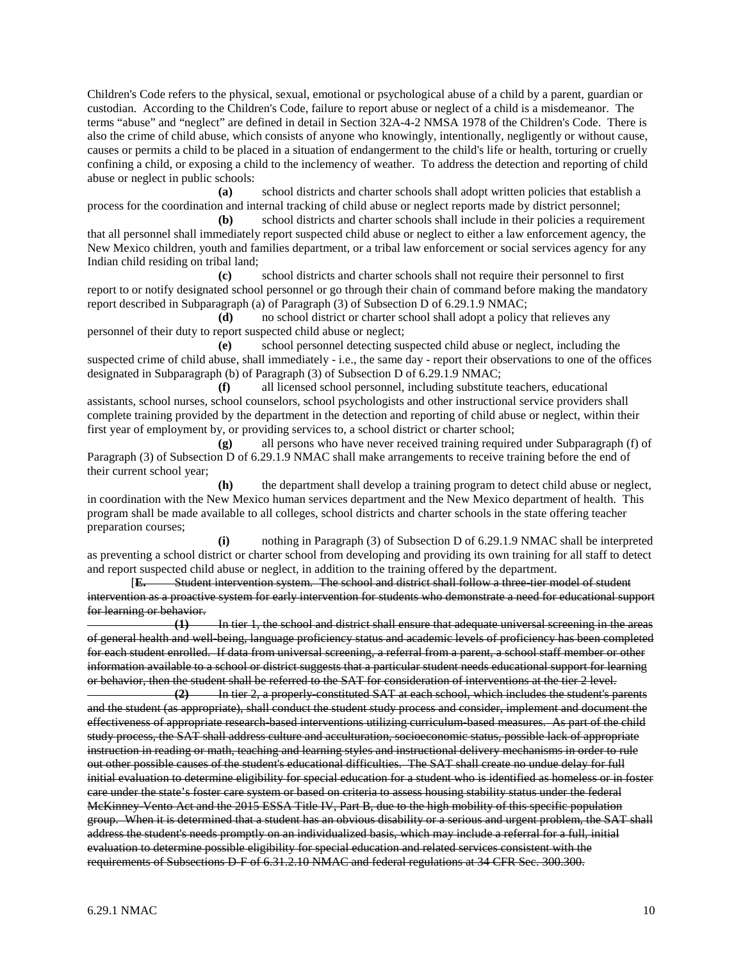Children's Code refers to the physical, sexual, emotional or psychological abuse of a child by a parent, guardian or custodian. According to the Children's Code, failure to report abuse or neglect of a child is a misdemeanor. The terms "abuse" and "neglect" are defined in detail in Section 32A-4-2 NMSA 1978 of the Children's Code. There is also the crime of child abuse, which consists of anyone who knowingly, intentionally, negligently or without cause, causes or permits a child to be placed in a situation of endangerment to the child's life or health, torturing or cruelly confining a child, or exposing a child to the inclemency of weather. To address the detection and reporting of child abuse or neglect in public schools:

**(a)** school districts and charter schools shall adopt written policies that establish a process for the coordination and internal tracking of child abuse or neglect reports made by district personnel;

**(b)** school districts and charter schools shall include in their policies a requirement that all personnel shall immediately report suspected child abuse or neglect to either a law enforcement agency, the New Mexico children, youth and families department, or a tribal law enforcement or social services agency for any Indian child residing on tribal land;

**(c)** school districts and charter schools shall not require their personnel to first report to or notify designated school personnel or go through their chain of command before making the mandatory report described in Subparagraph (a) of Paragraph (3) of Subsection D of 6.29.1.9 NMAC;

**(d)** no school district or charter school shall adopt a policy that relieves any personnel of their duty to report suspected child abuse or neglect;

**(e)** school personnel detecting suspected child abuse or neglect, including the suspected crime of child abuse, shall immediately - i.e., the same day - report their observations to one of the offices designated in Subparagraph (b) of Paragraph (3) of Subsection D of 6.29.1.9 NMAC;

**(f)** all licensed school personnel, including substitute teachers, educational assistants, school nurses, school counselors, school psychologists and other instructional service providers shall complete training provided by the department in the detection and reporting of child abuse or neglect, within their first year of employment by, or providing services to, a school district or charter school;

**(g)** all persons who have never received training required under Subparagraph (f) of Paragraph (3) of Subsection D of 6.29.1.9 NMAC shall make arrangements to receive training before the end of their current school year;

**(h)** the department shall develop a training program to detect child abuse or neglect, in coordination with the New Mexico human services department and the New Mexico department of health. This program shall be made available to all colleges, school districts and charter schools in the state offering teacher preparation courses;

**(i)** nothing in Paragraph (3) of Subsection D of 6.29.1.9 NMAC shall be interpreted as preventing a school district or charter school from developing and providing its own training for all staff to detect and report suspected child abuse or neglect, in addition to the training offered by the department.

[**E.** Student intervention system. The school and district shall follow a three-tier model of student intervention as a proactive system for early intervention for students who demonstrate a need for educational support for learning or behavior.

**(1)** In tier 1, the school and district shall ensure that adequate universal screening in the areas of general health and well-being, language proficiency status and academic levels of proficiency has been completed for each student enrolled. If data from universal screening, a referral from a parent, a school staff member or other information available to a school or district suggests that a particular student needs educational support for learning or behavior, then the student shall be referred to the SAT for consideration of interventions at the tier 2 level.<br> **Calcular** (2) The tier 2, a properly constituted SAT at each school, which includes the student's properl

**(2)** In tier 2, a properly-constituted SAT at each school, which includes the student's parents and the student (as appropriate), shall conduct the student study process and consider, implement and document the effectiveness of appropriate research-based interventions utilizing curriculum-based measures. As part of the child study process, the SAT shall address culture and acculturation, socioeconomic status, possible lack of appropriate instruction in reading or math, teaching and learning styles and instructional delivery mechanisms in order to rule out other possible causes of the student's educational difficulties. The SAT shall create no undue delay for full initial evaluation to determine eligibility for special education for a student who is identified as homeless or in foster care under the state's foster care system or based on criteria to assess housing stability status under the federal McKinney-Vento Act and the 2015 ESSA Title IV, Part B, due to the high mobility of this specific population group. When it is determined that a student has an obvious disability or a serious and urgent problem, the SAT shall address the student's needs promptly on an individualized basis, which may include a referral for a full, initial evaluation to determine possible eligibility for special education and related services consistent with the requirements of Subsections D-F of 6.31.2.10 NMAC and federal regulations at 34 CFR Sec. 300.300.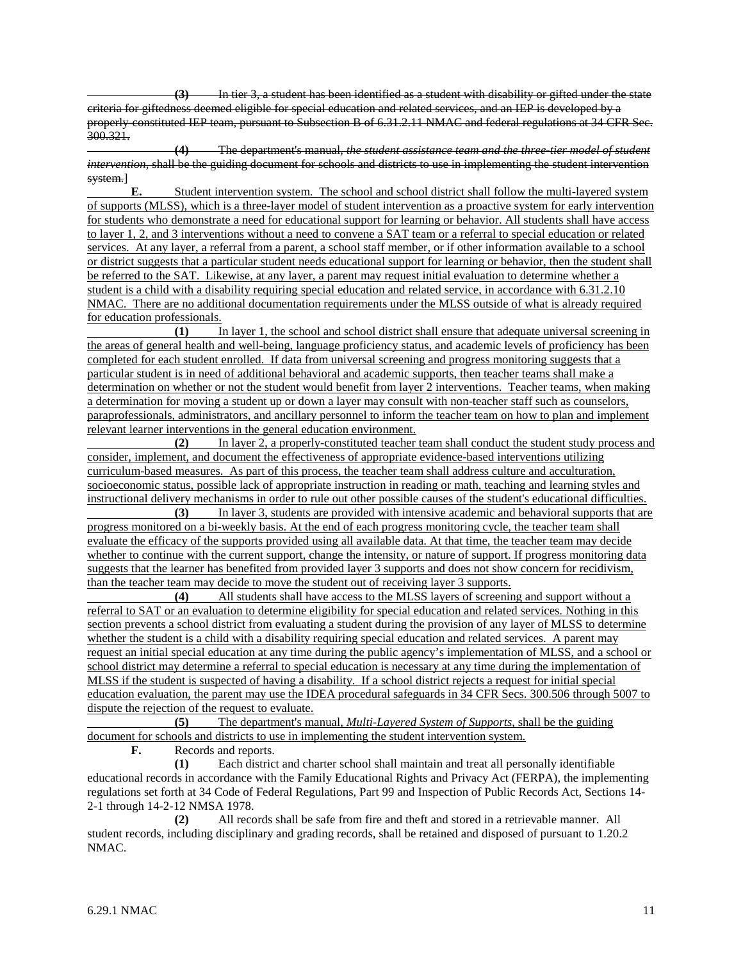**(3)** In tier 3, a student has been identified as a student with disability or gifted under the state criteria for giftedness deemed eligible for special education and related services, and an IEP is developed by a properly-constituted IEP team, pursuant to Subsection B of 6.31.2.11 NMAC and federal regulations at 34 CFR Sec. 300.321.

**(4)** The department's manual, *the student assistance team and the three-tier model of student intervention*, shall be the guiding document for schools and districts to use in implementing the student intervention system.]

**E.** Student intervention system. The school and school district shall follow the multi-layered system of supports (MLSS), which is a three-layer model of student intervention as a proactive system for early intervention for students who demonstrate a need for educational support for learning or behavior. All students shall have access to layer 1, 2, and 3 interventions without a need to convene a SAT team or a referral to special education or related services. At any layer, a referral from a parent, a school staff member, or if other information available to a school or district suggests that a particular student needs educational support for learning or behavior, then the student shall be referred to the SAT. Likewise, at any layer, a parent may request initial evaluation to determine whether a student is a child with a disability requiring special education and related service, in accordance with 6.31.2.10 NMAC. There are no additional documentation requirements under the MLSS outside of what is already required for education professionals.

**(1)** In layer 1, the school and school district shall ensure that adequate universal screening in the areas of general health and well-being, language proficiency status, and academic levels of proficiency has been completed for each student enrolled. If data from universal screening and progress monitoring suggests that a particular student is in need of additional behavioral and academic supports, then teacher teams shall make a determination on whether or not the student would benefit from layer 2 interventions. Teacher teams, when making a determination for moving a student up or down a layer may consult with non-teacher staff such as counselors, paraprofessionals, administrators, and ancillary personnel to inform the teacher team on how to plan and implement relevant learner interventions in the general education environment.

**(2)** In layer 2, a properly-constituted teacher team shall conduct the student study process and consider, implement, and document the effectiveness of appropriate evidence-based interventions utilizing curriculum-based measures. As part of this process, the teacher team shall address culture and acculturation, socioeconomic status, possible lack of appropriate instruction in reading or math, teaching and learning styles and instructional delivery mechanisms in order to rule out other possible causes of the student's educational difficulties.

**(3)** In layer 3, students are provided with intensive academic and behavioral supports that are progress monitored on a bi-weekly basis. At the end of each progress monitoring cycle, the teacher team shall evaluate the efficacy of the supports provided using all available data. At that time, the teacher team may decide whether to continue with the current support, change the intensity, or nature of support. If progress monitoring data suggests that the learner has benefited from provided layer 3 supports and does not show concern for recidivism, than the teacher team may decide to move the student out of receiving layer 3 supports.

**(4)** All students shall have access to the MLSS layers of screening and support without a referral to SAT or an evaluation to determine eligibility for special education and related services. Nothing in this section prevents a school district from evaluating a student during the provision of any layer of MLSS to determine whether the student is a child with a disability requiring special education and related services. A parent may request an initial special education at any time during the public agency's implementation of MLSS, and a school or school district may determine a referral to special education is necessary at any time during the implementation of MLSS if the student is suspected of having a disability. If a school district rejects a request for initial special education evaluation, the parent may use the IDEA procedural safeguards in 34 CFR Secs. 300.506 through 5007 to dispute the rejection of the request to evaluate.

**(5)** The department's manual, *Multi-Layered System of Supports*, shall be the guiding document for schools and districts to use in implementing the student intervention system.

**F.** Records and reports.

**(1)** Each district and charter school shall maintain and treat all personally identifiable educational records in accordance with the Family Educational Rights and Privacy Act (FERPA), the implementing regulations set forth at 34 Code of Federal Regulations, Part 99 and Inspection of Public Records Act, Sections 14- 2-1 through 14-2-12 NMSA 1978.

**(2)** All records shall be safe from fire and theft and stored in a retrievable manner. All student records, including disciplinary and grading records, shall be retained and disposed of pursuant to 1.20.2 NMAC.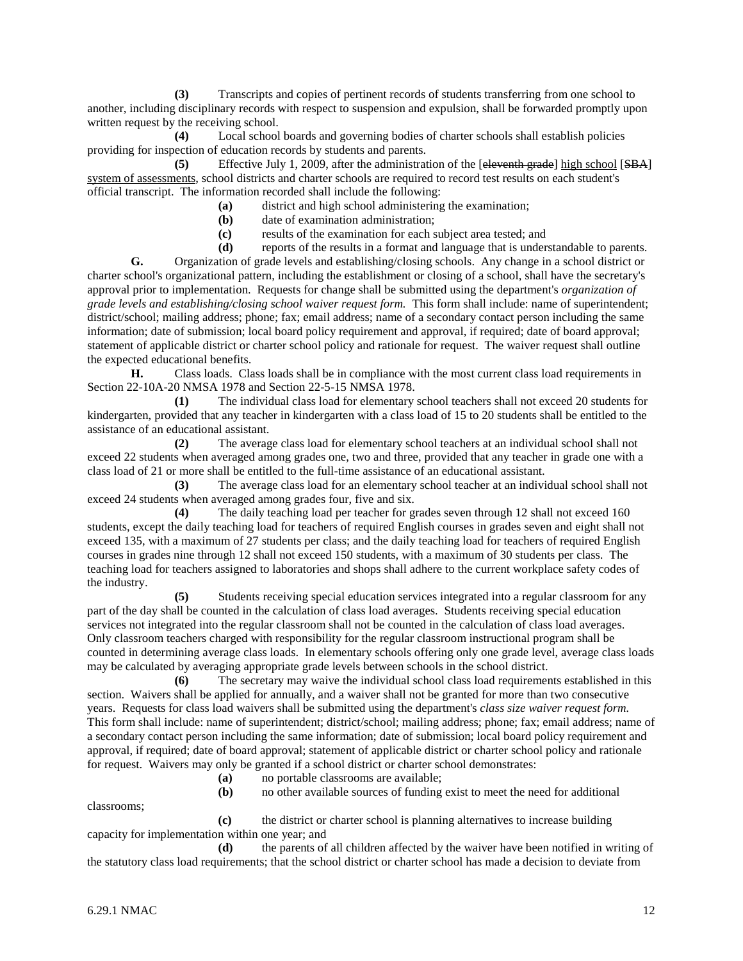**(3)** Transcripts and copies of pertinent records of students transferring from one school to another, including disciplinary records with respect to suspension and expulsion, shall be forwarded promptly upon written request by the receiving school.

**(4)** Local school boards and governing bodies of charter schools shall establish policies providing for inspection of education records by students and parents.

**(5)** Effective July 1, 2009, after the administration of the [eleventh grade] high school [SBA] system of assessments, school districts and charter schools are required to record test results on each student's official transcript. The information recorded shall include the following:

**(a)** district and high school administering the examination;

- **(b)** date of examination administration;
- **(c)** results of the examination for each subject area tested; and

**(d)** reports of the results in a format and language that is understandable to parents.

**G.** Organization of grade levels and establishing/closing schools. Any change in a school district or charter school's organizational pattern, including the establishment or closing of a school, shall have the secretary's approval prior to implementation. Requests for change shall be submitted using the department's *organization of grade levels and establishing/closing school waiver request form.* This form shall include: name of superintendent; district/school; mailing address; phone; fax; email address; name of a secondary contact person including the same information; date of submission; local board policy requirement and approval, if required; date of board approval; statement of applicable district or charter school policy and rationale for request. The waiver request shall outline the expected educational benefits.

**H.** Class loads. Class loads shall be in compliance with the most current class load requirements in Section 22-10A-20 NMSA 1978 and Section 22-5-15 NMSA 1978.

**(1)** The individual class load for elementary school teachers shall not exceed 20 students for kindergarten, provided that any teacher in kindergarten with a class load of 15 to 20 students shall be entitled to the assistance of an educational assistant.

**(2)** The average class load for elementary school teachers at an individual school shall not exceed 22 students when averaged among grades one, two and three, provided that any teacher in grade one with a class load of 21 or more shall be entitled to the full-time assistance of an educational assistant.

**(3)** The average class load for an elementary school teacher at an individual school shall not exceed 24 students when averaged among grades four, five and six.

**(4)** The daily teaching load per teacher for grades seven through 12 shall not exceed 160 students, except the daily teaching load for teachers of required English courses in grades seven and eight shall not exceed 135, with a maximum of 27 students per class; and the daily teaching load for teachers of required English courses in grades nine through 12 shall not exceed 150 students, with a maximum of 30 students per class. The teaching load for teachers assigned to laboratories and shops shall adhere to the current workplace safety codes of the industry.

**(5)** Students receiving special education services integrated into a regular classroom for any part of the day shall be counted in the calculation of class load averages. Students receiving special education services not integrated into the regular classroom shall not be counted in the calculation of class load averages. Only classroom teachers charged with responsibility for the regular classroom instructional program shall be counted in determining average class loads. In elementary schools offering only one grade level, average class loads may be calculated by averaging appropriate grade levels between schools in the school district.

**(6)** The secretary may waive the individual school class load requirements established in this section. Waivers shall be applied for annually, and a waiver shall not be granted for more than two consecutive years. Requests for class load waivers shall be submitted using the department's *class size waiver request form.*  This form shall include: name of superintendent; district/school; mailing address; phone; fax; email address; name of a secondary contact person including the same information; date of submission; local board policy requirement and approval, if required; date of board approval; statement of applicable district or charter school policy and rationale for request. Waivers may only be granted if a school district or charter school demonstrates:

**(a)** no portable classrooms are available;

**(b)** no other available sources of funding exist to meet the need for additional

classrooms;

**(c)** the district or charter school is planning alternatives to increase building capacity for implementation within one year; and

**(d)** the parents of all children affected by the waiver have been notified in writing of the statutory class load requirements; that the school district or charter school has made a decision to deviate from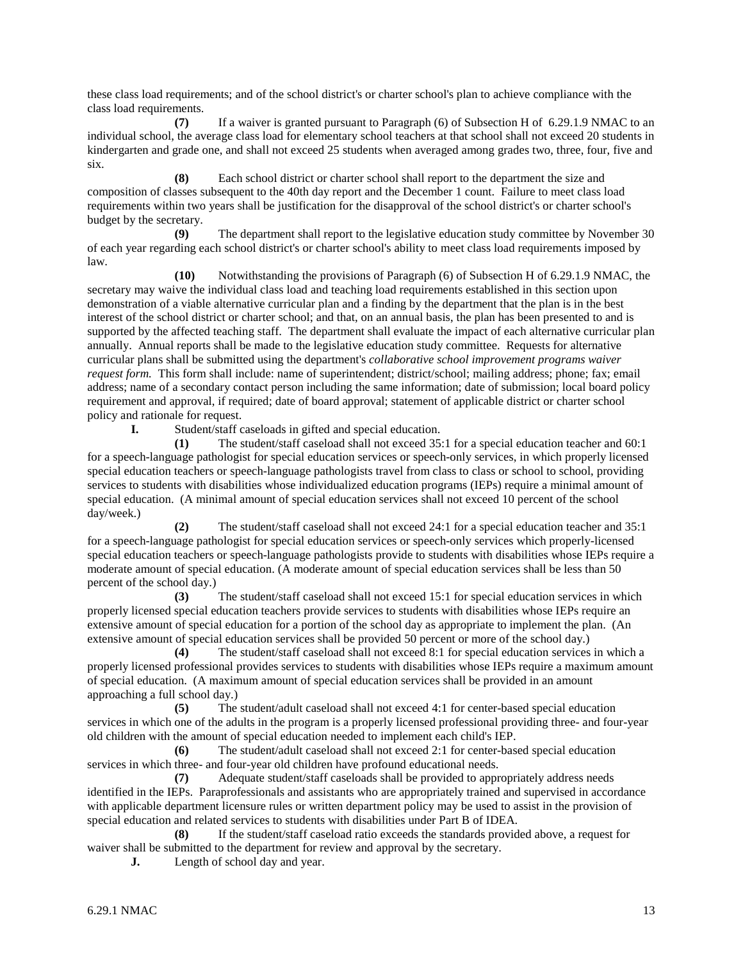these class load requirements; and of the school district's or charter school's plan to achieve compliance with the class load requirements.

**(7)** If a waiver is granted pursuant to Paragraph (6) of Subsection H of 6.29.1.9 NMAC to an individual school, the average class load for elementary school teachers at that school shall not exceed 20 students in kindergarten and grade one, and shall not exceed 25 students when averaged among grades two, three, four, five and six.

**(8)** Each school district or charter school shall report to the department the size and composition of classes subsequent to the 40th day report and the December 1 count. Failure to meet class load requirements within two years shall be justification for the disapproval of the school district's or charter school's budget by the secretary.

**(9)** The department shall report to the legislative education study committee by November 30 of each year regarding each school district's or charter school's ability to meet class load requirements imposed by law.

**(10)** Notwithstanding the provisions of Paragraph (6) of Subsection H of 6.29.1.9 NMAC, the secretary may waive the individual class load and teaching load requirements established in this section upon demonstration of a viable alternative curricular plan and a finding by the department that the plan is in the best interest of the school district or charter school; and that, on an annual basis, the plan has been presented to and is supported by the affected teaching staff. The department shall evaluate the impact of each alternative curricular plan annually. Annual reports shall be made to the legislative education study committee. Requests for alternative curricular plans shall be submitted using the department's *collaborative school improvement programs waiver request form.* This form shall include: name of superintendent; district/school; mailing address; phone; fax; email address; name of a secondary contact person including the same information; date of submission; local board policy requirement and approval, if required; date of board approval; statement of applicable district or charter school policy and rationale for request.

**I.** Student/staff caseloads in gifted and special education.

**(1)** The student/staff caseload shall not exceed 35:1 for a special education teacher and 60:1 for a speech-language pathologist for special education services or speech-only services, in which properly licensed special education teachers or speech-language pathologists travel from class to class or school to school, providing services to students with disabilities whose individualized education programs (IEPs) require a minimal amount of special education. (A minimal amount of special education services shall not exceed 10 percent of the school day/week.)

**(2)** The student/staff caseload shall not exceed 24:1 for a special education teacher and 35:1 for a speech-language pathologist for special education services or speech-only services which properly-licensed special education teachers or speech-language pathologists provide to students with disabilities whose IEPs require a moderate amount of special education. (A moderate amount of special education services shall be less than 50 percent of the school day.)

**(3)** The student/staff caseload shall not exceed 15:1 for special education services in which properly licensed special education teachers provide services to students with disabilities whose IEPs require an extensive amount of special education for a portion of the school day as appropriate to implement the plan. (An extensive amount of special education services shall be provided 50 percent or more of the school day.)

**(4)** The student/staff caseload shall not exceed 8:1 for special education services in which a properly licensed professional provides services to students with disabilities whose IEPs require a maximum amount of special education. (A maximum amount of special education services shall be provided in an amount approaching a full school day.)

**(5)** The student/adult caseload shall not exceed 4:1 for center-based special education services in which one of the adults in the program is a properly licensed professional providing three- and four-year old children with the amount of special education needed to implement each child's IEP.

**(6)** The student/adult caseload shall not exceed 2:1 for center-based special education services in which three- and four-year old children have profound educational needs.

**(7)** Adequate student/staff caseloads shall be provided to appropriately address needs identified in the IEPs. Paraprofessionals and assistants who are appropriately trained and supervised in accordance with applicable department licensure rules or written department policy may be used to assist in the provision of special education and related services to students with disabilities under Part B of IDEA.

**(8)** If the student/staff caseload ratio exceeds the standards provided above, a request for waiver shall be submitted to the department for review and approval by the secretary.

**J.** Length of school day and year.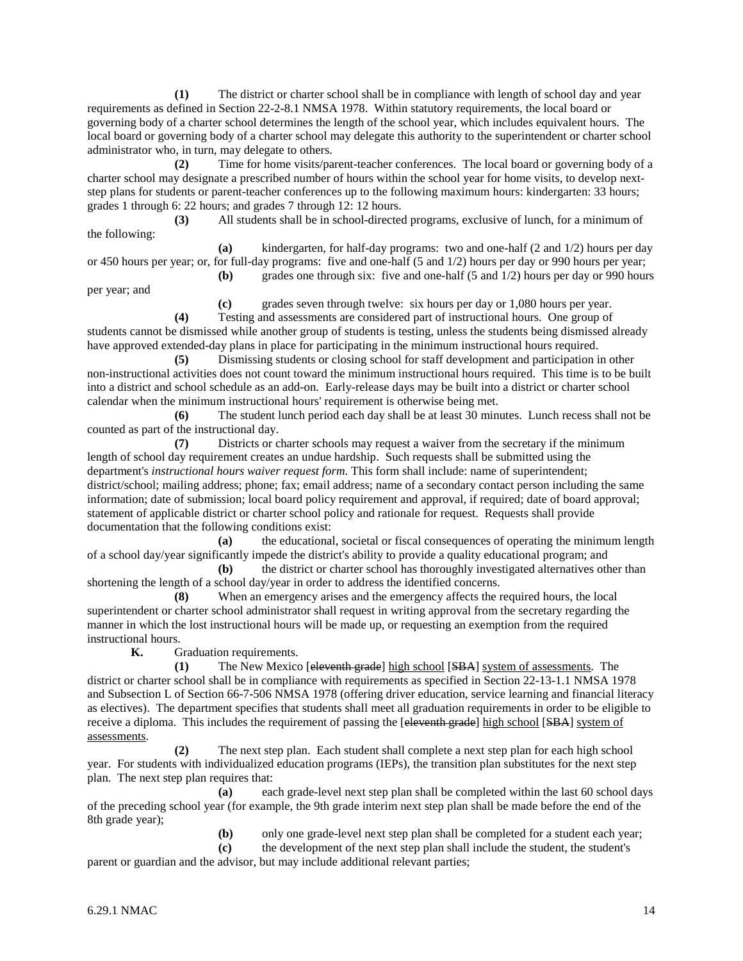**(1)** The district or charter school shall be in compliance with length of school day and year requirements as defined in Section 22-2-8.1 NMSA 1978. Within statutory requirements, the local board or governing body of a charter school determines the length of the school year, which includes equivalent hours. The local board or governing body of a charter school may delegate this authority to the superintendent or charter school administrator who, in turn, may delegate to others.

**(2)** Time for home visits/parent-teacher conferences. The local board or governing body of a charter school may designate a prescribed number of hours within the school year for home visits, to develop nextstep plans for students or parent-teacher conferences up to the following maximum hours: kindergarten: 33 hours; grades 1 through 6: 22 hours; and grades 7 through 12: 12 hours.

**(3)** All students shall be in school-directed programs, exclusive of lunch, for a minimum of the following:

**(a)** kindergarten, for half-day programs: two and one-half (2 and 1/2) hours per day or 450 hours per year; or, for full-day programs: five and one-half (5 and 1/2) hours per day or 990 hours per year; **(b)** grades one through six: five and one-half (5 and 1/2) hours per day or 990 hours

per year; and

**(c)** grades seven through twelve: six hours per day or 1,080 hours per year.

**(4)** Testing and assessments are considered part of instructional hours. One group of students cannot be dismissed while another group of students is testing, unless the students being dismissed already have approved extended-day plans in place for participating in the minimum instructional hours required.

**(5)** Dismissing students or closing school for staff development and participation in other non-instructional activities does not count toward the minimum instructional hours required. This time is to be built into a district and school schedule as an add-on. Early-release days may be built into a district or charter school calendar when the minimum instructional hours' requirement is otherwise being met.

**(6)** The student lunch period each day shall be at least 30 minutes. Lunch recess shall not be counted as part of the instructional day.

**(7)** Districts or charter schools may request a waiver from the secretary if the minimum length of school day requirement creates an undue hardship. Such requests shall be submitted using the department's *instructional hours waiver request form*. This form shall include: name of superintendent; district/school; mailing address; phone; fax; email address; name of a secondary contact person including the same information; date of submission; local board policy requirement and approval, if required; date of board approval; statement of applicable district or charter school policy and rationale for request. Requests shall provide documentation that the following conditions exist:

**(a)** the educational, societal or fiscal consequences of operating the minimum length of a school day/year significantly impede the district's ability to provide a quality educational program; and

**(b)** the district or charter school has thoroughly investigated alternatives other than shortening the length of a school day/year in order to address the identified concerns.

**(8)** When an emergency arises and the emergency affects the required hours, the local superintendent or charter school administrator shall request in writing approval from the secretary regarding the manner in which the lost instructional hours will be made up, or requesting an exemption from the required instructional hours.<br> $\bf{K}$   $\bf{G}$ 

**K.** Graduation requirements.

**(1)** The New Mexico [eleventh grade] high school [SBA] system of assessments. The district or charter school shall be in compliance with requirements as specified in Section 22-13-1.1 NMSA 1978 and Subsection L of Section 66-7-506 NMSA 1978 (offering driver education, service learning and financial literacy as electives). The department specifies that students shall meet all graduation requirements in order to be eligible to receive a diploma. This includes the requirement of passing the [eleventh grade] high school [SBA] system of assessments.

**(2)** The next step plan. Each student shall complete a next step plan for each high school year. For students with individualized education programs (IEPs), the transition plan substitutes for the next step plan. The next step plan requires that:

**(a)** each grade-level next step plan shall be completed within the last 60 school days of the preceding school year (for example, the 9th grade interim next step plan shall be made before the end of the 8th grade year);

> **(b)** only one grade-level next step plan shall be completed for a student each year; **(c)** the development of the next step plan shall include the student, the student's

parent or guardian and the advisor, but may include additional relevant parties;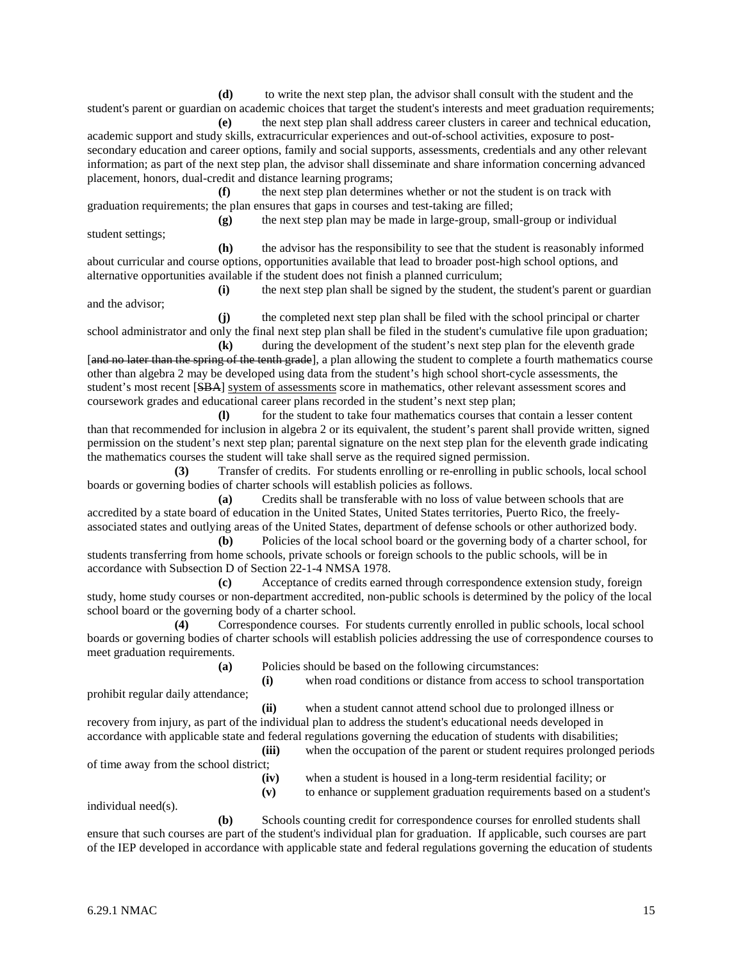**(d)** to write the next step plan, the advisor shall consult with the student and the student's parent or guardian on academic choices that target the student's interests and meet graduation requirements;

**(e)** the next step plan shall address career clusters in career and technical education, academic support and study skills, extracurricular experiences and out-of-school activities, exposure to postsecondary education and career options, family and social supports, assessments, credentials and any other relevant information; as part of the next step plan, the advisor shall disseminate and share information concerning advanced placement, honors, dual-credit and distance learning programs;

**(f)** the next step plan determines whether or not the student is on track with graduation requirements; the plan ensures that gaps in courses and test-taking are filled;

**(g)** the next step plan may be made in large-group, small-group or individual student settings;

**(h)** the advisor has the responsibility to see that the student is reasonably informed about curricular and course options, opportunities available that lead to broader post-high school options, and alternative opportunities available if the student does not finish a planned curriculum;

**(i)** the next step plan shall be signed by the student, the student's parent or guardian and the advisor;

**(j)** the completed next step plan shall be filed with the school principal or charter school administrator and only the final next step plan shall be filed in the student's cumulative file upon graduation;

**(k)** during the development of the student's next step plan for the eleventh grade [and no later than the spring of the tenth grade], a plan allowing the student to complete a fourth mathematics course other than algebra 2 may be developed using data from the student's high school short-cycle assessments, the student's most recent [SBA] system of assessments score in mathematics, other relevant assessment scores and coursework grades and educational career plans recorded in the student's next step plan;

**(l)** for the student to take four mathematics courses that contain a lesser content than that recommended for inclusion in algebra 2 or its equivalent, the student's parent shall provide written, signed permission on the student's next step plan; parental signature on the next step plan for the eleventh grade indicating the mathematics courses the student will take shall serve as the required signed permission.

**(3)** Transfer of credits. For students enrolling or re-enrolling in public schools, local school boards or governing bodies of charter schools will establish policies as follows.

**(a)** Credits shall be transferable with no loss of value between schools that are accredited by a state board of education in the United States, United States territories, Puerto Rico, the freelyassociated states and outlying areas of the United States, department of defense schools or other authorized body.

**(b)** Policies of the local school board or the governing body of a charter school, for students transferring from home schools, private schools or foreign schools to the public schools, will be in accordance with Subsection D of Section 22-1-4 NMSA 1978.

**(c)** Acceptance of credits earned through correspondence extension study, foreign study, home study courses or non-department accredited, non-public schools is determined by the policy of the local school board or the governing body of a charter school.

**(4)** Correspondence courses. For students currently enrolled in public schools, local school boards or governing bodies of charter schools will establish policies addressing the use of correspondence courses to meet graduation requirements.

**(a)** Policies should be based on the following circumstances:

**(i)** when road conditions or distance from access to school transportation prohibit regular daily attendance;

**(ii)** when a student cannot attend school due to prolonged illness or recovery from injury, as part of the individual plan to address the student's educational needs developed in accordance with applicable state and federal regulations governing the education of students with disabilities;

**(iii)** when the occupation of the parent or student requires prolonged periods

of time away from the school district;

**(iv)** when a student is housed in a long-term residential facility; or

**(v)** to enhance or supplement graduation requirements based on a student's

individual need(s).

**(b)** Schools counting credit for correspondence courses for enrolled students shall ensure that such courses are part of the student's individual plan for graduation. If applicable, such courses are part of the IEP developed in accordance with applicable state and federal regulations governing the education of students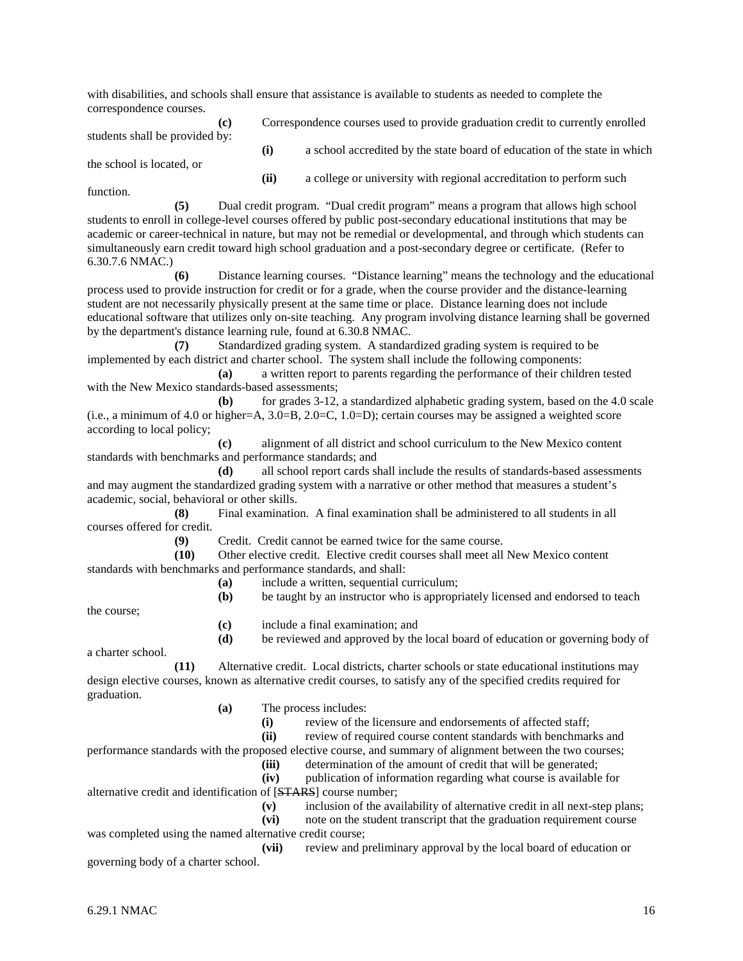with disabilities, and schools shall ensure that assistance is available to students as needed to complete the correspondence courses.

| (c)<br>students shall be provided by:<br>the school is located, or | Correspondence courses used to provide graduation credit to currently enrolled |                                                                           |
|--------------------------------------------------------------------|--------------------------------------------------------------------------------|---------------------------------------------------------------------------|
|                                                                    | (i)                                                                            | a school accredited by the state board of education of the state in which |
|                                                                    | (ii)                                                                           | a college or university with regional accreditation to perform such       |

function.

**(5)** Dual credit program. "Dual credit program" means a program that allows high school students to enroll in college-level courses offered by public post-secondary educational institutions that may be academic or career-technical in nature, but may not be remedial or developmental, and through which students can simultaneously earn credit toward high school graduation and a post-secondary degree or certificate. (Refer to 6.30.7.6 NMAC.)

**(6)** Distance learning courses. "Distance learning" means the technology and the educational process used to provide instruction for credit or for a grade, when the course provider and the distance-learning student are not necessarily physically present at the same time or place. Distance learning does not include educational software that utilizes only on-site teaching. Any program involving distance learning shall be governed by the department's distance learning rule, found at 6.30.8 NMAC.

**(7)** Standardized grading system. A standardized grading system is required to be implemented by each district and charter school. The system shall include the following components:

**(a)** a written report to parents regarding the performance of their children tested with the New Mexico standards-based assessments;

**(b)** for grades 3-12, a standardized alphabetic grading system, based on the 4.0 scale (i.e., a minimum of 4.0 or higher=A,  $3.0$ =B,  $2.0$ =C,  $1.0$ =D); certain courses may be assigned a weighted score according to local policy;

**(c)** alignment of all district and school curriculum to the New Mexico content standards with benchmarks and performance standards; and

**(d)** all school report cards shall include the results of standards-based assessments and may augment the standardized grading system with a narrative or other method that measures a student's academic, social, behavioral or other skills.

**(8)** Final examination. A final examination shall be administered to all students in all courses offered for credit.

**(9)** Credit. Credit cannot be earned twice for the same course.

**(10)** Other elective credit. Elective credit courses shall meet all New Mexico content standards with benchmarks and performance standards, and shall:

- **(a)** include a written, sequential curriculum;
- **(b)** be taught by an instructor who is appropriately licensed and endorsed to teach

the course;

- **(c)** include a final examination; and
- **(d)** be reviewed and approved by the local board of education or governing body of

a charter school.

**(11)** Alternative credit. Local districts, charter schools or state educational institutions may design elective courses, known as alternative credit courses, to satisfy any of the specified credits required for graduation.

- **(a)** The process includes:
	- **(i)** review of the licensure and endorsements of affected staff;
	- **(ii)** review of required course content standards with benchmarks and

performance standards with the proposed elective course, and summary of alignment between the two courses;

**(iii)** determination of the amount of credit that will be generated;

**(iv)** publication of information regarding what course is available for alternative credit and identification of [STARS] course number;

**(v)** inclusion of the availability of alternative credit in all next-step plans;

**(vii)** review and preliminary approval by the local board of education or governing body of a charter school.

**<sup>(</sup>vi)** note on the student transcript that the graduation requirement course was completed using the named alternative credit course;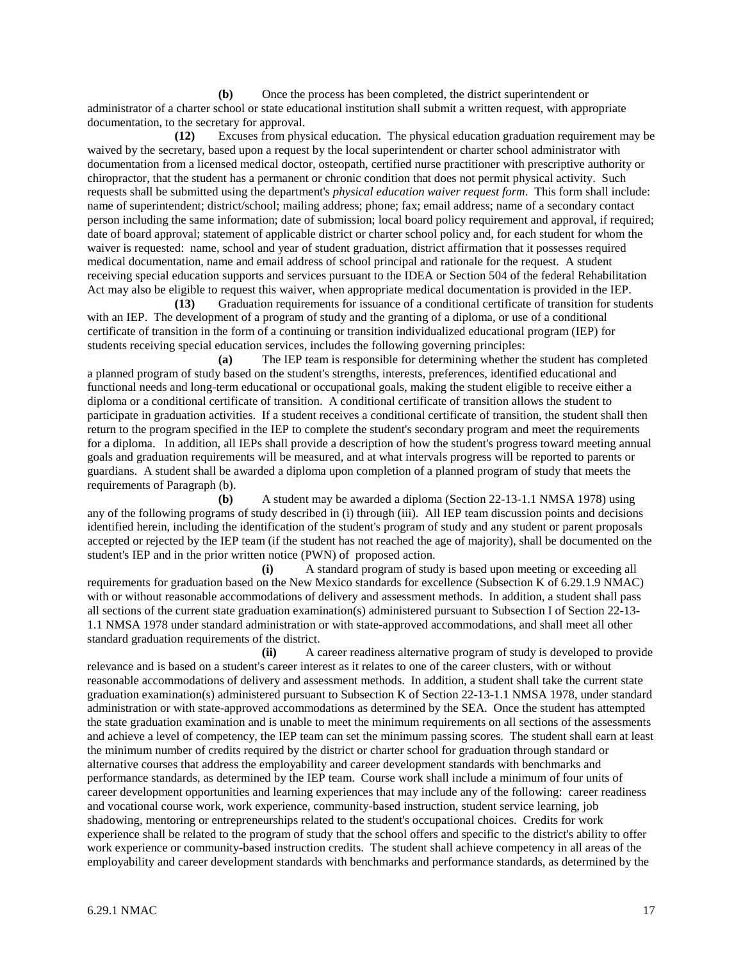**(b)** Once the process has been completed, the district superintendent or administrator of a charter school or state educational institution shall submit a written request, with appropriate documentation, to the secretary for approval.

**(12)** Excuses from physical education. The physical education graduation requirement may be waived by the secretary, based upon a request by the local superintendent or charter school administrator with documentation from a licensed medical doctor, osteopath, certified nurse practitioner with prescriptive authority or chiropractor, that the student has a permanent or chronic condition that does not permit physical activity. Such requests shall be submitted using the department's *physical education waiver request form*. This form shall include: name of superintendent; district/school; mailing address; phone; fax; email address; name of a secondary contact person including the same information; date of submission; local board policy requirement and approval, if required; date of board approval; statement of applicable district or charter school policy and, for each student for whom the waiver is requested: name, school and year of student graduation, district affirmation that it possesses required medical documentation, name and email address of school principal and rationale for the request. A student receiving special education supports and services pursuant to the IDEA or Section 504 of the federal Rehabilitation Act may also be eligible to request this waiver, when appropriate medical documentation is provided in the IEP.

**(13)** Graduation requirements for issuance of a conditional certificate of transition for students with an IEP. The development of a program of study and the granting of a diploma, or use of a conditional certificate of transition in the form of a continuing or transition individualized educational program (IEP) for students receiving special education services, includes the following governing principles:<br>(a) The IEP team is responsible for determining whether the

**(a)** The IEP team is responsible for determining whether the student has completed a planned program of study based on the student's strengths, interests, preferences, identified educational and functional needs and long-term educational or occupational goals, making the student eligible to receive either a diploma or a conditional certificate of transition. A conditional certificate of transition allows the student to participate in graduation activities. If a student receives a conditional certificate of transition, the student shall then return to the program specified in the IEP to complete the student's secondary program and meet the requirements for a diploma. In addition, all IEPs shall provide a description of how the student's progress toward meeting annual goals and graduation requirements will be measured, and at what intervals progress will be reported to parents or guardians. A student shall be awarded a diploma upon completion of a planned program of study that meets the requirements of Paragraph (b).

**(b)** A student may be awarded a diploma (Section 22-13-1.1 NMSA 1978) using any of the following programs of study described in (i) through (iii). All IEP team discussion points and decisions identified herein, including the identification of the student's program of study and any student or parent proposals accepted or rejected by the IEP team (if the student has not reached the age of majority), shall be documented on the student's IEP and in the prior written notice (PWN) of proposed action.

**(i)** A standard program of study is based upon meeting or exceeding all requirements for graduation based on the New Mexico standards for excellence (Subsection K of 6.29.1.9 NMAC) with or without reasonable accommodations of delivery and assessment methods. In addition, a student shall pass all sections of the current state graduation examination(s) administered pursuant to Subsection I of Section 22-13- 1.1 NMSA 1978 under standard administration or with state-approved accommodations, and shall meet all other standard graduation requirements of the district.

**(ii)** A career readiness alternative program of study is developed to provide relevance and is based on a student's career interest as it relates to one of the career clusters, with or without reasonable accommodations of delivery and assessment methods. In addition, a student shall take the current state graduation examination(s) administered pursuant to Subsection K of Section 22-13-1.1 NMSA 1978, under standard administration or with state-approved accommodations as determined by the SEA. Once the student has attempted the state graduation examination and is unable to meet the minimum requirements on all sections of the assessments and achieve a level of competency, the IEP team can set the minimum passing scores. The student shall earn at least the minimum number of credits required by the district or charter school for graduation through standard or alternative courses that address the employability and career development standards with benchmarks and performance standards, as determined by the IEP team. Course work shall include a minimum of four units of career development opportunities and learning experiences that may include any of the following: career readiness and vocational course work, work experience, community-based instruction, student service learning, job shadowing, mentoring or entrepreneurships related to the student's occupational choices. Credits for work experience shall be related to the program of study that the school offers and specific to the district's ability to offer work experience or community-based instruction credits. The student shall achieve competency in all areas of the employability and career development standards with benchmarks and performance standards, as determined by the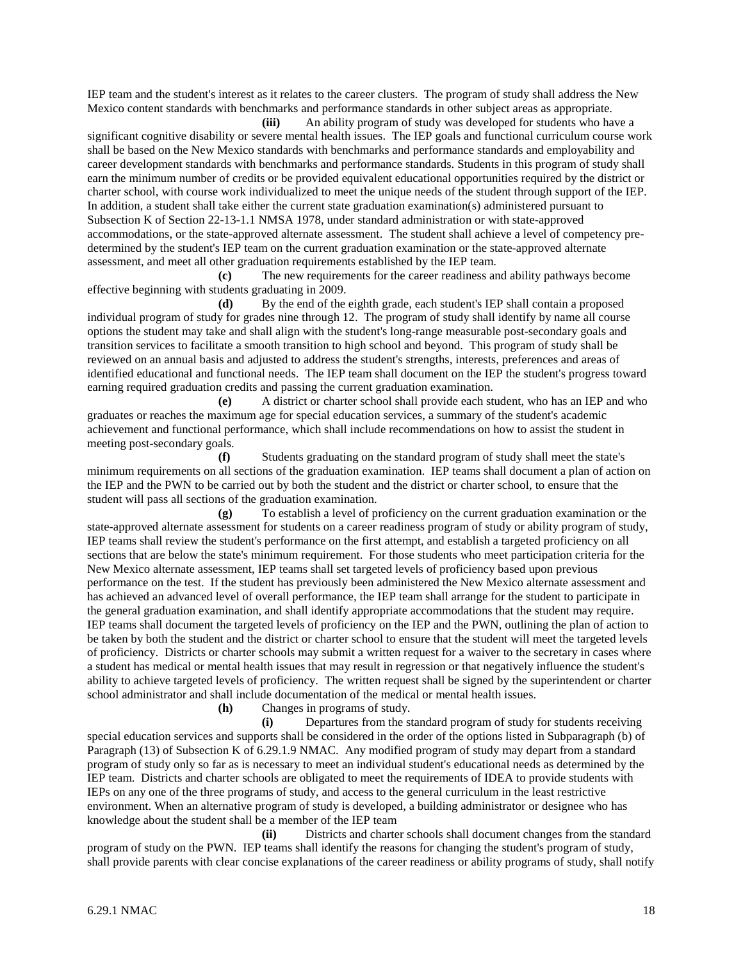IEP team and the student's interest as it relates to the career clusters. The program of study shall address the New Mexico content standards with benchmarks and performance standards in other subject areas as appropriate.

**(iii)** An ability program of study was developed for students who have a significant cognitive disability or severe mental health issues. The IEP goals and functional curriculum course work shall be based on the New Mexico standards with benchmarks and performance standards and employability and career development standards with benchmarks and performance standards. Students in this program of study shall earn the minimum number of credits or be provided equivalent educational opportunities required by the district or charter school, with course work individualized to meet the unique needs of the student through support of the IEP. In addition, a student shall take either the current state graduation examination(s) administered pursuant to Subsection K of Section 22-13-1.1 NMSA 1978, under standard administration or with state-approved accommodations, or the state-approved alternate assessment. The student shall achieve a level of competency predetermined by the student's IEP team on the current graduation examination or the state-approved alternate assessment, and meet all other graduation requirements established by the IEP team.

**(c)** The new requirements for the career readiness and ability pathways become effective beginning with students graduating in 2009.

**(d)** By the end of the eighth grade, each student's IEP shall contain a proposed individual program of study for grades nine through 12. The program of study shall identify by name all course options the student may take and shall align with the student's long-range measurable post-secondary goals and transition services to facilitate a smooth transition to high school and beyond. This program of study shall be reviewed on an annual basis and adjusted to address the student's strengths, interests, preferences and areas of identified educational and functional needs. The IEP team shall document on the IEP the student's progress toward earning required graduation credits and passing the current graduation examination.

**(e)** A district or charter school shall provide each student, who has an IEP and who graduates or reaches the maximum age for special education services, a summary of the student's academic achievement and functional performance, which shall include recommendations on how to assist the student in meeting post-secondary goals.

**(f)** Students graduating on the standard program of study shall meet the state's minimum requirements on all sections of the graduation examination. IEP teams shall document a plan of action on the IEP and the PWN to be carried out by both the student and the district or charter school, to ensure that the student will pass all sections of the graduation examination.

**(g)** To establish a level of proficiency on the current graduation examination or the state-approved alternate assessment for students on a career readiness program of study or ability program of study, IEP teams shall review the student's performance on the first attempt, and establish a targeted proficiency on all sections that are below the state's minimum requirement. For those students who meet participation criteria for the New Mexico alternate assessment, IEP teams shall set targeted levels of proficiency based upon previous performance on the test. If the student has previously been administered the New Mexico alternate assessment and has achieved an advanced level of overall performance, the IEP team shall arrange for the student to participate in the general graduation examination, and shall identify appropriate accommodations that the student may require. IEP teams shall document the targeted levels of proficiency on the IEP and the PWN, outlining the plan of action to be taken by both the student and the district or charter school to ensure that the student will meet the targeted levels of proficiency. Districts or charter schools may submit a written request for a waiver to the secretary in cases where a student has medical or mental health issues that may result in regression or that negatively influence the student's ability to achieve targeted levels of proficiency. The written request shall be signed by the superintendent or charter school administrator and shall include documentation of the medical or mental health issues.

**(h)** Changes in programs of study.

**(i)** Departures from the standard program of study for students receiving special education services and supports shall be considered in the order of the options listed in Subparagraph (b) of Paragraph (13) of Subsection K of 6.29.1.9 NMAC. Any modified program of study may depart from a standard program of study only so far as is necessary to meet an individual student's educational needs as determined by the IEP team. Districts and charter schools are obligated to meet the requirements of IDEA to provide students with IEPs on any one of the three programs of study, and access to the general curriculum in the least restrictive environment. When an alternative program of study is developed, a building administrator or designee who has knowledge about the student shall be a member of the IEP team

**(ii)** Districts and charter schools shall document changes from the standard program of study on the PWN. IEP teams shall identify the reasons for changing the student's program of study, shall provide parents with clear concise explanations of the career readiness or ability programs of study, shall notify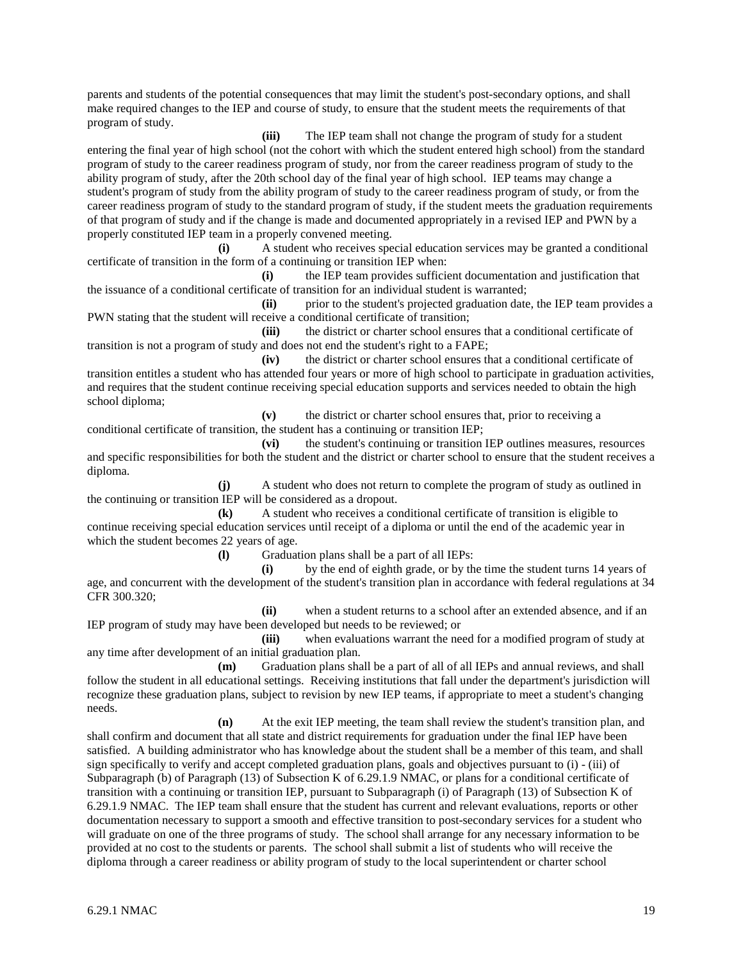parents and students of the potential consequences that may limit the student's post-secondary options, and shall make required changes to the IEP and course of study, to ensure that the student meets the requirements of that program of study.

**(iii)** The IEP team shall not change the program of study for a student entering the final year of high school (not the cohort with which the student entered high school) from the standard program of study to the career readiness program of study, nor from the career readiness program of study to the ability program of study, after the 20th school day of the final year of high school. IEP teams may change a student's program of study from the ability program of study to the career readiness program of study, or from the career readiness program of study to the standard program of study, if the student meets the graduation requirements of that program of study and if the change is made and documented appropriately in a revised IEP and PWN by a properly constituted IEP team in a properly convened meeting.

**(i)** A student who receives special education services may be granted a conditional certificate of transition in the form of a continuing or transition IEP when:

**(i)** the IEP team provides sufficient documentation and justification that the issuance of a conditional certificate of transition for an individual student is warranted;

**(ii)** prior to the student's projected graduation date, the IEP team provides a PWN stating that the student will receive a conditional certificate of transition;

**(iii)** the district or charter school ensures that a conditional certificate of transition is not a program of study and does not end the student's right to a FAPE;<br>(iv) the district or charter school ensures the

**(iv)** the district or charter school ensures that a conditional certificate of transition entitles a student who has attended four years or more of high school to participate in graduation activities, and requires that the student continue receiving special education supports and services needed to obtain the high school diploma;

**(v)** the district or charter school ensures that, prior to receiving a conditional certificate of transition, the student has a continuing or transition IEP;

**(vi)** the student's continuing or transition IEP outlines measures, resources and specific responsibilities for both the student and the district or charter school to ensure that the student receives a diploma.

**(j)** A student who does not return to complete the program of study as outlined in the continuing or transition IEP will be considered as a dropout.

**(k)** A student who receives a conditional certificate of transition is eligible to continue receiving special education services until receipt of a diploma or until the end of the academic year in which the student becomes 22 years of age.

**(l)** Graduation plans shall be a part of all IEPs:

**(i)** by the end of eighth grade, or by the time the student turns 14 years of age, and concurrent with the development of the student's transition plan in accordance with federal regulations at 34 CFR 300.320;

**(ii)** when a student returns to a school after an extended absence, and if an IEP program of study may have been developed but needs to be reviewed; or

**(iii)** when evaluations warrant the need for a modified program of study at any time after development of an initial graduation plan.

**(m)** Graduation plans shall be a part of all of all IEPs and annual reviews, and shall follow the student in all educational settings. Receiving institutions that fall under the department's jurisdiction will recognize these graduation plans, subject to revision by new IEP teams, if appropriate to meet a student's changing needs.

**(n)** At the exit IEP meeting, the team shall review the student's transition plan, and shall confirm and document that all state and district requirements for graduation under the final IEP have been

satisfied. A building administrator who has knowledge about the student shall be a member of this team, and shall sign specifically to verify and accept completed graduation plans, goals and objectives pursuant to (i) - (iii) of Subparagraph (b) of Paragraph (13) of Subsection K of 6.29.1.9 NMAC, or plans for a conditional certificate of transition with a continuing or transition IEP, pursuant to Subparagraph (i) of Paragraph (13) of Subsection K of 6.29.1.9 NMAC. The IEP team shall ensure that the student has current and relevant evaluations, reports or other documentation necessary to support a smooth and effective transition to post-secondary services for a student who will graduate on one of the three programs of study. The school shall arrange for any necessary information to be provided at no cost to the students or parents. The school shall submit a list of students who will receive the diploma through a career readiness or ability program of study to the local superintendent or charter school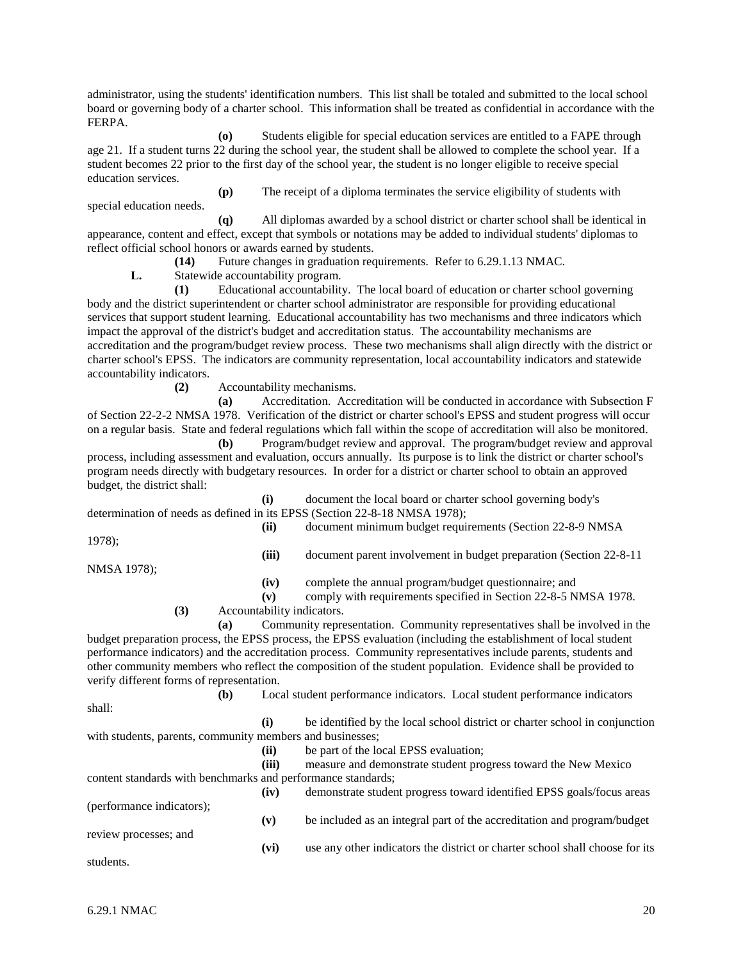administrator, using the students' identification numbers. This list shall be totaled and submitted to the local school board or governing body of a charter school. This information shall be treated as confidential in accordance with the FERPA.

**(o)** Students eligible for special education services are entitled to a FAPE through age 21. If a student turns 22 during the school year, the student shall be allowed to complete the school year. If a student becomes 22 prior to the first day of the school year, the student is no longer eligible to receive special education services.

**(p)** The receipt of a diploma terminates the service eligibility of students with special education needs.

**(q)** All diplomas awarded by a school district or charter school shall be identical in appearance, content and effect, except that symbols or notations may be added to individual students' diplomas to reflect official school honors or awards earned by students.

**(14)** Future changes in graduation requirements. Refer to 6.29.1.13 NMAC.

**L.** Statewide accountability program.

**(1)** Educational accountability. The local board of education or charter school governing body and the district superintendent or charter school administrator are responsible for providing educational services that support student learning. Educational accountability has two mechanisms and three indicators which impact the approval of the district's budget and accreditation status. The accountability mechanisms are accreditation and the program/budget review process. These two mechanisms shall align directly with the district or charter school's EPSS. The indicators are community representation, local accountability indicators and statewide accountability indicators.

**(2)** Accountability mechanisms.

**(a)** Accreditation. Accreditation will be conducted in accordance with Subsection F of Section 22-2-2 NMSA 1978. Verification of the district or charter school's EPSS and student progress will occur on a regular basis. State and federal regulations which fall within the scope of accreditation will also be monitored.

**(b)** Program/budget review and approval. The program/budget review and approval process, including assessment and evaluation, occurs annually. Its purpose is to link the district or charter school's program needs directly with budgetary resources. In order for a district or charter school to obtain an approved budget, the district shall:

**(i)** document the local board or charter school governing body's determination of needs as defined in its EPSS (Section 22-8-18 NMSA 1978);

1978);

**(ii)** document minimum budget requirements (Section 22-8-9 NMSA

**(iii)** document parent involvement in budget preparation (Section 22-8-11

NMSA 1978);

**(iv)** complete the annual program/budget questionnaire; and

**(v)** comply with requirements specified in Section 22-8-5 NMSA 1978.

**(3)** Accountability indicators.

**(a)** Community representation. Community representatives shall be involved in the budget preparation process, the EPSS process, the EPSS evaluation (including the establishment of local student performance indicators) and the accreditation process. Community representatives include parents, students and other community members who reflect the composition of the student population. Evidence shall be provided to verify different forms of representation.

**(b)** Local student performance indicators. Local student performance indicators shall: **(i)** be identified by the local school district or charter school in conjunction with students, parents, community members and businesses; **(ii)** be part of the local EPSS evaluation; **(iii)** measure and demonstrate student progress toward the New Mexico content standards with benchmarks and performance standards; **(iv)** demonstrate student progress toward identified EPSS goals/focus areas (performance indicators); **(v)** be included as an integral part of the accreditation and program/budget review processes; and **(vi)** use any other indicators the district or charter school shall choose for its students.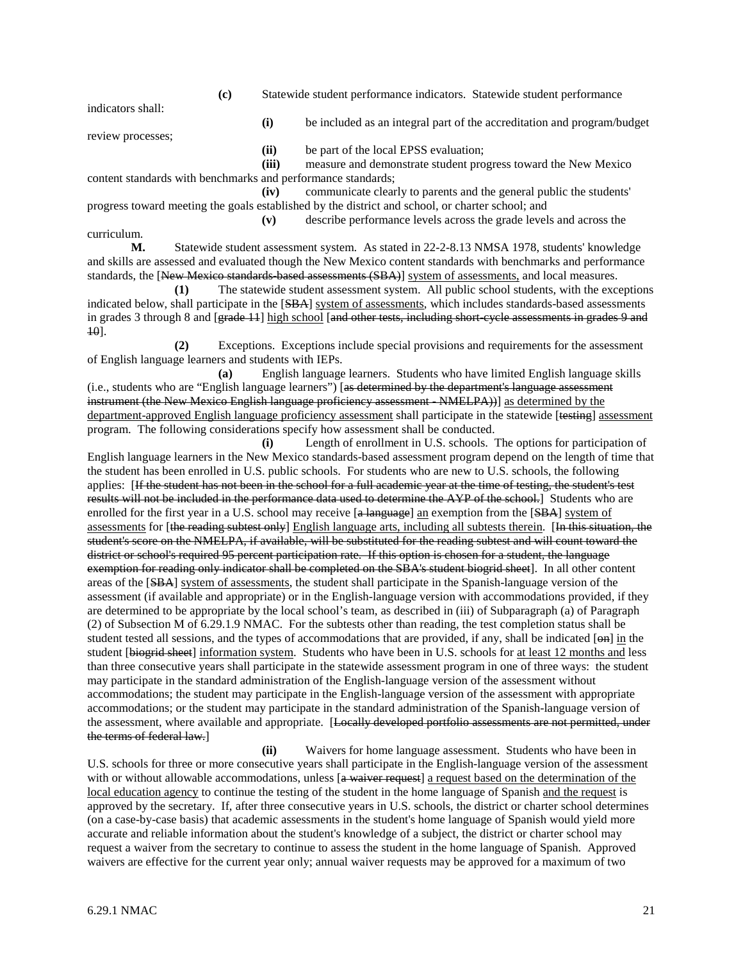**(c)** Statewide student performance indicators. Statewide student performance

indicators shall:

**(i)** be included as an integral part of the accreditation and program/budget

review processes;

**(ii)** be part of the local EPSS evaluation;

**(iii)** measure and demonstrate student progress toward the New Mexico

content standards with benchmarks and performance standards; **(iv)** communicate clearly to parents and the general public the students'

progress toward meeting the goals established by the district and school, or charter school; and **(v)** describe performance levels across the grade levels and across the

curriculum.

**M.** Statewide student assessment system. As stated in 22-2-8.13 NMSA 1978, students' knowledge and skills are assessed and evaluated though the New Mexico content standards with benchmarks and performance standards, the [New Mexico standards-based assessments (SBA)] system of assessments, and local measures.

**(1)** The statewide student assessment system. All public school students, with the exceptions indicated below, shall participate in the [SBA] system of assessments, which includes standards-based assessments in grades 3 through 8 and [grade 11] high school [and other tests, including short-cycle assessments in grades 9 and 10].

**(2)** Exceptions. Exceptions include special provisions and requirements for the assessment of English language learners and students with IEPs.

**(a)** English language learners. Students who have limited English language skills (i.e., students who are "English language learners") [as determined by the department's language assessment instrument (the New Mexico English language proficiency assessment - NMELPA)) as determined by the department-approved English language proficiency assessment shall participate in the statewide [testing] assessment program. The following considerations specify how assessment shall be conducted.

**(i)** Length of enrollment in U.S. schools. The options for participation of English language learners in the New Mexico standards-based assessment program depend on the length of time that the student has been enrolled in U.S. public schools. For students who are new to U.S. schools, the following applies: [If the student has not been in the school for a full academic year at the time of testing, the student's test results will not be included in the performance data used to determine the AYP of the school.] Students who are enrolled for the first year in a U.S. school may receive [a language] an exemption from the [SBA] system of assessments for [the reading subtest only] English language arts, including all subtests therein. [In this situation, the student's score on the NMELPA, if available, will be substituted for the reading subtest and will count toward the district or school's required 95 percent participation rate. If this option is chosen for a student, the language exemption for reading only indicator shall be completed on the SBA's student biogrid sheet]. In all other content areas of the [SBA] system of assessments, the student shall participate in the Spanish-language version of the assessment (if available and appropriate) or in the English-language version with accommodations provided, if they are determined to be appropriate by the local school's team, as described in (iii) of Subparagraph (a) of Paragraph (2) of Subsection M of 6.29.1.9 NMAC. For the subtests other than reading, the test completion status shall be student tested all sessions, and the types of accommodations that are provided, if any, shall be indicated  $[\Theta n]$  in the student [biogrid sheet] information system. Students who have been in U.S. schools for at least 12 months and less than three consecutive years shall participate in the statewide assessment program in one of three ways: the student may participate in the standard administration of the English-language version of the assessment without accommodations; the student may participate in the English-language version of the assessment with appropriate accommodations; or the student may participate in the standard administration of the Spanish-language version of the assessment, where available and appropriate. [Locally developed portfolio assessments are not permitted, under the terms of federal law.]

**(ii)** Waivers for home language assessment. Students who have been in U.S. schools for three or more consecutive years shall participate in the English-language version of the assessment with or without allowable accommodations, unless  $[a$  waiver request a request based on the determination of the local education agency to continue the testing of the student in the home language of Spanish and the request is approved by the secretary. If, after three consecutive years in U.S. schools, the district or charter school determines (on a case-by-case basis) that academic assessments in the student's home language of Spanish would yield more accurate and reliable information about the student's knowledge of a subject, the district or charter school may request a waiver from the secretary to continue to assess the student in the home language of Spanish. Approved waivers are effective for the current year only; annual waiver requests may be approved for a maximum of two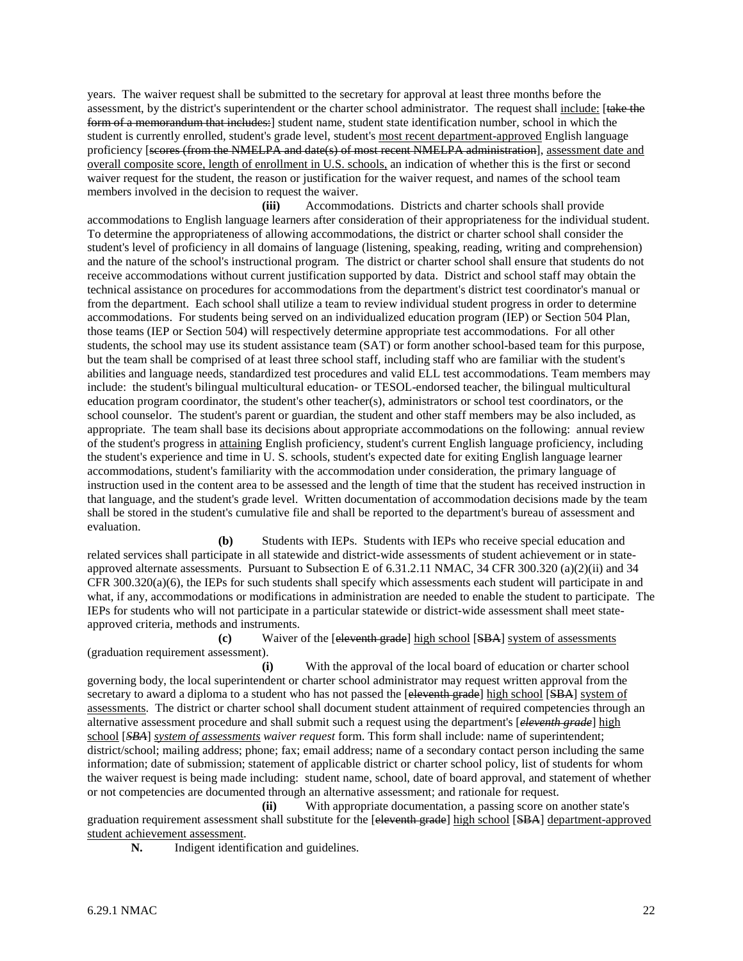years. The waiver request shall be submitted to the secretary for approval at least three months before the assessment, by the district's superintendent or the charter school administrator. The request shall include: [take the form of a memorandum that includes:] student name, student state identification number, school in which the student is currently enrolled, student's grade level, student's most recent department-approved English language proficiency [seores (from the NMELPA and date(s) of most recent NMELPA administration], assessment date and overall composite score, length of enrollment in U.S. schools, an indication of whether this is the first or second waiver request for the student, the reason or justification for the waiver request, and names of the school team members involved in the decision to request the waiver.

**(iii)** Accommodations. Districts and charter schools shall provide accommodations to English language learners after consideration of their appropriateness for the individual student. To determine the appropriateness of allowing accommodations, the district or charter school shall consider the student's level of proficiency in all domains of language (listening, speaking, reading, writing and comprehension) and the nature of the school's instructional program. The district or charter school shall ensure that students do not receive accommodations without current justification supported by data. District and school staff may obtain the technical assistance on procedures for accommodations from the department's district test coordinator's manual or from the department. Each school shall utilize a team to review individual student progress in order to determine accommodations. For students being served on an individualized education program (IEP) or Section 504 Plan, those teams (IEP or Section 504) will respectively determine appropriate test accommodations. For all other students, the school may use its student assistance team (SAT) or form another school-based team for this purpose, but the team shall be comprised of at least three school staff, including staff who are familiar with the student's abilities and language needs, standardized test procedures and valid ELL test accommodations. Team members may include: the student's bilingual multicultural education- or TESOL-endorsed teacher, the bilingual multicultural education program coordinator, the student's other teacher(s), administrators or school test coordinators, or the school counselor. The student's parent or guardian, the student and other staff members may be also included, as appropriate. The team shall base its decisions about appropriate accommodations on the following: annual review of the student's progress in attaining English proficiency, student's current English language proficiency, including the student's experience and time in U. S. schools, student's expected date for exiting English language learner accommodations, student's familiarity with the accommodation under consideration, the primary language of instruction used in the content area to be assessed and the length of time that the student has received instruction in that language, and the student's grade level. Written documentation of accommodation decisions made by the team shall be stored in the student's cumulative file and shall be reported to the department's bureau of assessment and evaluation.

**(b)** Students with IEPs. Students with IEPs who receive special education and related services shall participate in all statewide and district-wide assessments of student achievement or in stateapproved alternate assessments. Pursuant to Subsection E of 6.31.2.11 NMAC, 34 CFR 300.320 (a)(2)(ii) and 34  $CFR 300.320(a)(6)$ , the IEPs for such students shall specify which assessments each student will participate in and what, if any, accommodations or modifications in administration are needed to enable the student to participate. The IEPs for students who will not participate in a particular statewide or district-wide assessment shall meet stateapproved criteria, methods and instruments.

**(c)** Waiver of the [eleventh grade] high school [SBA] system of assessments (graduation requirement assessment).

**(i)** With the approval of the local board of education or charter school governing body, the local superintendent or charter school administrator may request written approval from the secretary to award a diploma to a student who has not passed the [eleventh grade] high school [SBA] system of assessments. The district or charter school shall document student attainment of required competencies through an alternative assessment procedure and shall submit such a request using the department's [*eleventh grade*] high school [*SBA*] *system of assessments waiver request* form. This form shall include: name of superintendent; district/school; mailing address; phone; fax; email address; name of a secondary contact person including the same information; date of submission; statement of applicable district or charter school policy, list of students for whom the waiver request is being made including: student name, school, date of board approval, and statement of whether or not competencies are documented through an alternative assessment; and rationale for request.

**(ii)** With appropriate documentation, a passing score on another state's graduation requirement assessment shall substitute for the [eleventh grade] high school [SBA] department-approved student achievement assessment.

**N.** Indigent identification and guidelines.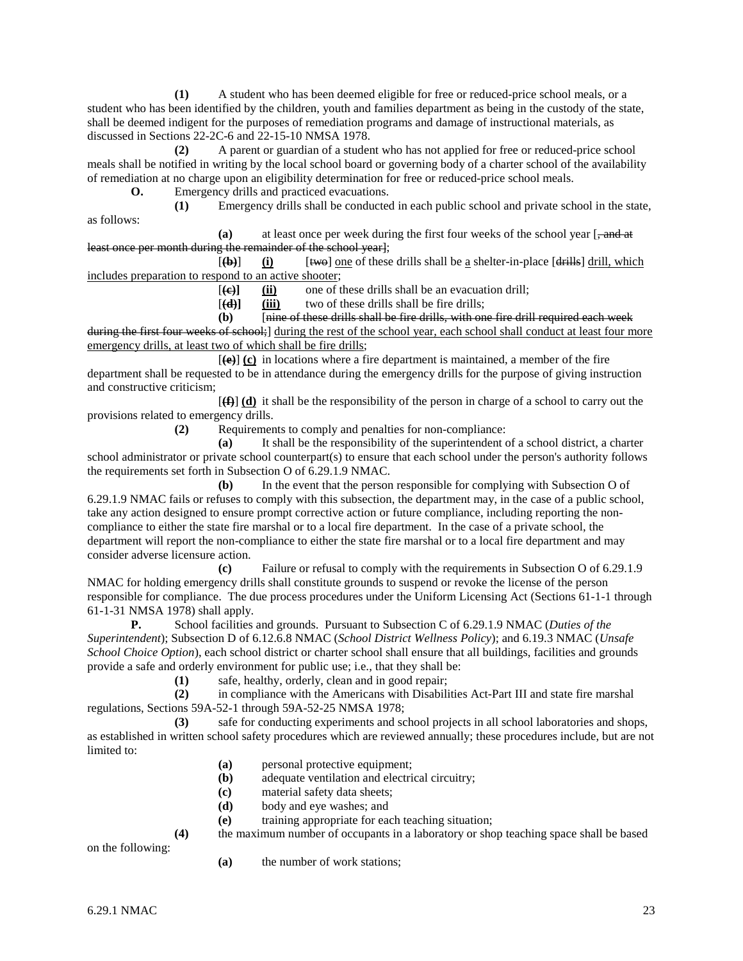**(1)** A student who has been deemed eligible for free or reduced-price school meals, or a student who has been identified by the children, youth and families department as being in the custody of the state, shall be deemed indigent for the purposes of remediation programs and damage of instructional materials, as discussed in Sections 22-2C-6 and 22-15-10 NMSA 1978.

**(2)** A parent or guardian of a student who has not applied for free or reduced-price school meals shall be notified in writing by the local school board or governing body of a charter school of the availability of remediation at no charge upon an eligibility determination for free or reduced-price school meals.

**O.** Emergency drills and practiced evacuations. **(1)** Emergency drills shall be conducted in each public school and private school in the state,

as follows:

**(a)** at least once per week during the first four weeks of the school year [, and at least once per month during the remainder of the school year];

 $[\textbf{(b)}]$  (i) [ $\textbf{[two]}$ ] one of these drills shall be a shelter-in-place  $[\textbf{d} \textbf{[t]}]$  drill, which includes preparation to respond to an active shooter;

[**(c)] (ii)** one of these drills shall be an evacuation drill;

[**(d)] (iii)** two of these drills shall be fire drills;

**(b)** [nine of these drills shall be fire drills, with one fire drill required each week

during the first four weeks of school; during the rest of the school year, each school shall conduct at least four more emergency drills, at least two of which shall be fire drills;

 $[\langle \mathbf{e} \rangle]$  (c) in locations where a fire department is maintained, a member of the fire department shall be requested to be in attendance during the emergency drills for the purpose of giving instruction and constructive criticism;

[**(f)**] **(d)** it shall be the responsibility of the person in charge of a school to carry out the provisions related to emergency drills.

**(2)** Requirements to comply and penalties for non-compliance:

**(a)** It shall be the responsibility of the superintendent of a school district, a charter school administrator or private school counterpart(s) to ensure that each school under the person's authority follows the requirements set forth in Subsection O of 6.29.1.9 NMAC.

**(b)** In the event that the person responsible for complying with Subsection O of 6.29.1.9 NMAC fails or refuses to comply with this subsection, the department may, in the case of a public school, take any action designed to ensure prompt corrective action or future compliance, including reporting the noncompliance to either the state fire marshal or to a local fire department. In the case of a private school, the department will report the non-compliance to either the state fire marshal or to a local fire department and may consider adverse licensure action.

**(c)** Failure or refusal to comply with the requirements in Subsection O of 6.29.1.9 NMAC for holding emergency drills shall constitute grounds to suspend or revoke the license of the person responsible for compliance. The due process procedures under the Uniform Licensing Act (Sections 61-1-1 through 61-1-31 NMSA 1978) shall apply.

**P.** School facilities and grounds. Pursuant to Subsection C of 6.29.1.9 NMAC (*Duties of the Superintendent*); Subsection D of 6.12.6.8 NMAC (*School District Wellness Policy*); and 6.19.3 NMAC (*Unsafe School Choice Option*), each school district or charter school shall ensure that all buildings, facilities and grounds provide a safe and orderly environment for public use; i.e., that they shall be:

(1) safe, healthy, orderly, clean and in good repair;<br>(2) in compliance with the Americans with Disabili

**(2)** in compliance with the Americans with Disabilities Act-Part III and state fire marshal regulations, Sections 59A-52-1 through 59A-52-25 NMSA 1978;

**(3)** safe for conducting experiments and school projects in all school laboratories and shops, as established in written school safety procedures which are reviewed annually; these procedures include, but are not limited to:

- **(a)** personal protective equipment;
- **(b)** adequate ventilation and electrical circuitry;
- **(c)** material safety data sheets;
- **(d)** body and eye washes; and
- **(e)** training appropriate for each teaching situation;

**(4)** the maximum number of occupants in a laboratory or shop teaching space shall be based

on the following:

**(a)** the number of work stations;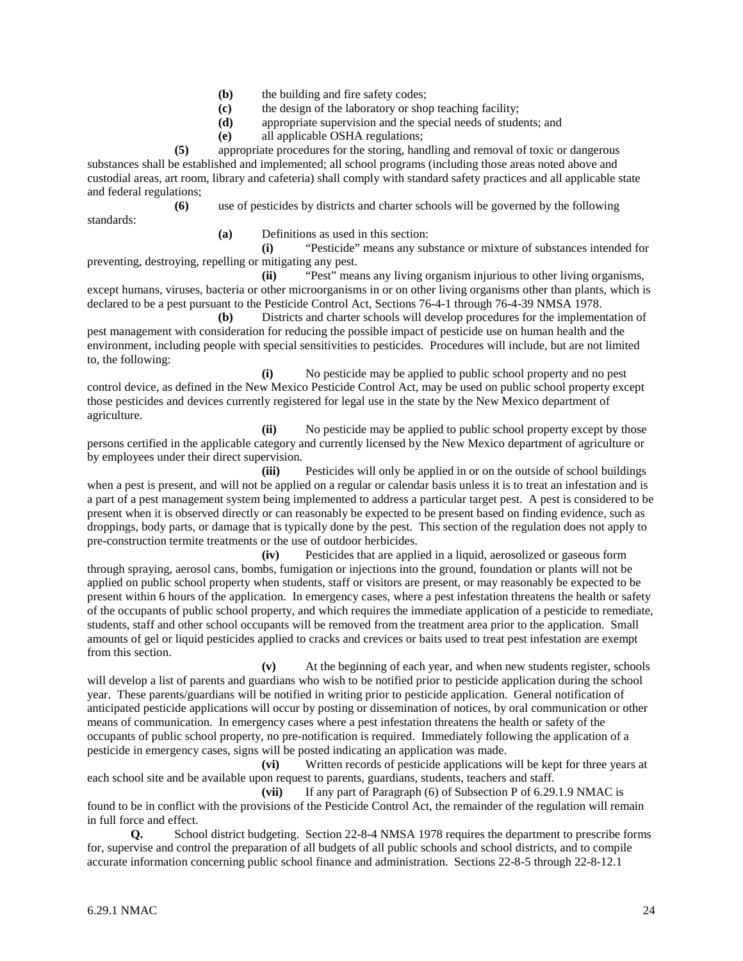- **(b)** the building and fire safety codes;
- **(c)** the design of the laboratory or shop teaching facility;
- **(d)** appropriate supervision and the special needs of students; and
- **(e)** all applicable OSHA regulations;

**(5)** appropriate procedures for the storing, handling and removal of toxic or dangerous substances shall be established and implemented; all school programs (including those areas noted above and custodial areas, art room, library and cafeteria) shall comply with standard safety practices and all applicable state and federal regulations;

**(6)** use of pesticides by districts and charter schools will be governed by the following standards:

**(a)** Definitions as used in this section:

**(i)** "Pesticide" means any substance or mixture of substances intended for preventing, destroying, repelling or mitigating any pest.

**(ii)** "Pest" means any living organism injurious to other living organisms, except humans, viruses, bacteria or other microorganisms in or on other living organisms other than plants, which is declared to be a pest pursuant to the Pesticide Control Act, Sections 76-4-1 through 76-4-39 NMSA 1978.

**(b)** Districts and charter schools will develop procedures for the implementation of pest management with consideration for reducing the possible impact of pesticide use on human health and the environment, including people with special sensitivities to pesticides. Procedures will include, but are not limited to, the following:

**(i)** No pesticide may be applied to public school property and no pest control device, as defined in the New Mexico Pesticide Control Act, may be used on public school property except those pesticides and devices currently registered for legal use in the state by the New Mexico department of agriculture.

**(ii)** No pesticide may be applied to public school property except by those persons certified in the applicable category and currently licensed by the New Mexico department of agriculture or by employees under their direct supervision.

**(iii)** Pesticides will only be applied in or on the outside of school buildings when a pest is present, and will not be applied on a regular or calendar basis unless it is to treat an infestation and is a part of a pest management system being implemented to address a particular target pest. A pest is considered to be present when it is observed directly or can reasonably be expected to be present based on finding evidence, such as droppings, body parts, or damage that is typically done by the pest. This section of the regulation does not apply to pre-construction termite treatments or the use of outdoor herbicides.

**(iv)** Pesticides that are applied in a liquid, aerosolized or gaseous form through spraying, aerosol cans, bombs, fumigation or injections into the ground, foundation or plants will not be applied on public school property when students, staff or visitors are present, or may reasonably be expected to be present within 6 hours of the application. In emergency cases, where a pest infestation threatens the health or safety of the occupants of public school property, and which requires the immediate application of a pesticide to remediate, students, staff and other school occupants will be removed from the treatment area prior to the application. Small amounts of gel or liquid pesticides applied to cracks and crevices or baits used to treat pest infestation are exempt from this section.

**(v)** At the beginning of each year, and when new students register, schools will develop a list of parents and guardians who wish to be notified prior to pesticide application during the school year. These parents/guardians will be notified in writing prior to pesticide application. General notification of anticipated pesticide applications will occur by posting or dissemination of notices, by oral communication or other means of communication. In emergency cases where a pest infestation threatens the health or safety of the occupants of public school property, no pre-notification is required. Immediately following the application of a pesticide in emergency cases, signs will be posted indicating an application was made.

**(vi)** Written records of pesticide applications will be kept for three years at each school site and be available upon request to parents, guardians, students, teachers and staff.

**(vii)** If any part of Paragraph (6) of Subsection P of 6.29.1.9 NMAC is found to be in conflict with the provisions of the Pesticide Control Act, the remainder of the regulation will remain

in full force and effect.

**Q.** School district budgeting. Section 22-8-4 NMSA 1978 requires the department to prescribe forms for, supervise and control the preparation of all budgets of all public schools and school districts, and to compile accurate information concerning public school finance and administration. Sections 22-8-5 through 22-8-12.1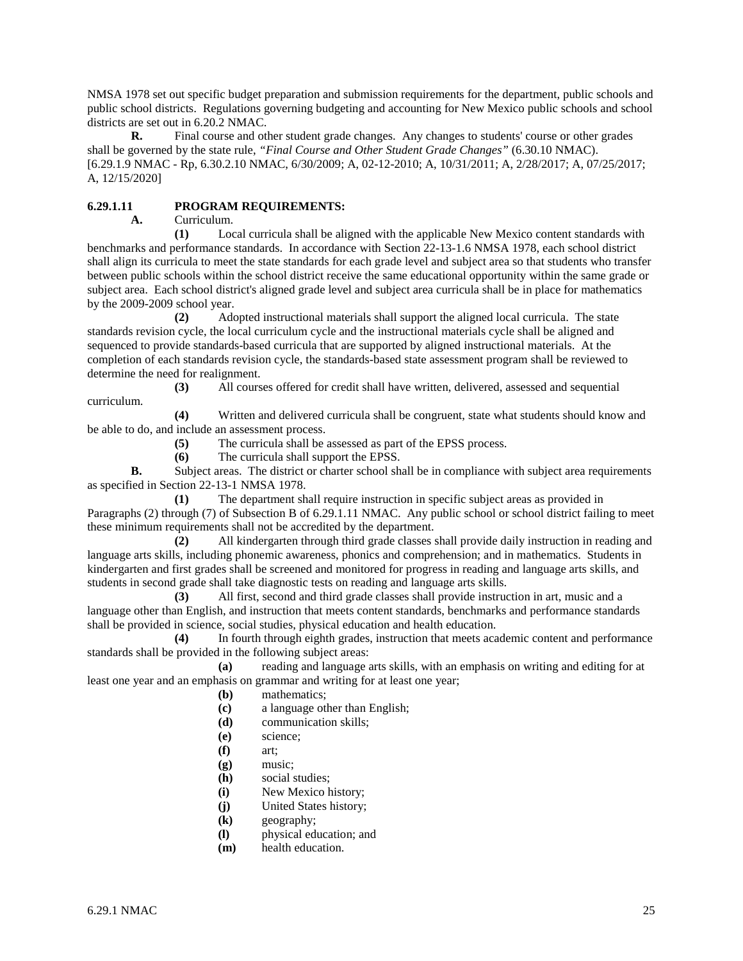NMSA 1978 set out specific budget preparation and submission requirements for the department, public schools and public school districts. Regulations governing budgeting and accounting for New Mexico public schools and school districts are set out in 6.20.2 NMAC.

**R.** Final course and other student grade changes. Any changes to students' course or other grades shall be governed by the state rule, *"Final Course and Other Student Grade Changes"* (6.30.10 NMAC). [6.29.1.9 NMAC - Rp, 6.30.2.10 NMAC, 6/30/2009; A, 02-12-2010; A, 10/31/2011; A, 2/28/2017; A, 07/25/2017; A, 12/15/2020]

# **6.29.1.11 PROGRAM REQUIREMENTS:**

**A.** Curriculum.

**(1)** Local curricula shall be aligned with the applicable New Mexico content standards with benchmarks and performance standards. In accordance with Section 22-13-1.6 NMSA 1978, each school district shall align its curricula to meet the state standards for each grade level and subject area so that students who transfer between public schools within the school district receive the same educational opportunity within the same grade or subject area. Each school district's aligned grade level and subject area curricula shall be in place for mathematics by the 2009-2009 school year.

**(2)** Adopted instructional materials shall support the aligned local curricula. The state standards revision cycle, the local curriculum cycle and the instructional materials cycle shall be aligned and sequenced to provide standards-based curricula that are supported by aligned instructional materials. At the completion of each standards revision cycle, the standards-based state assessment program shall be reviewed to determine the need for realignment.

**(3)** All courses offered for credit shall have written, delivered, assessed and sequential curriculum.

**(4)** Written and delivered curricula shall be congruent, state what students should know and be able to do, and include an assessment process.

**(5)** The curricula shall be assessed as part of the EPSS process.

**(6)** The curricula shall support the EPSS.

**B.** Subject areas. The district or charter school shall be in compliance with subject area requirements as specified in Section 22-13-1 NMSA 1978.

**(1)** The department shall require instruction in specific subject areas as provided in Paragraphs (2) through (7) of Subsection B of 6.29.1.11 NMAC. Any public school or school district failing to meet these minimum requirements shall not be accredited by the department.

**(2)** All kindergarten through third grade classes shall provide daily instruction in reading and language arts skills, including phonemic awareness, phonics and comprehension; and in mathematics. Students in kindergarten and first grades shall be screened and monitored for progress in reading and language arts skills, and students in second grade shall take diagnostic tests on reading and language arts skills.

**(3)** All first, second and third grade classes shall provide instruction in art, music and a language other than English, and instruction that meets content standards, benchmarks and performance standards shall be provided in science, social studies, physical education and health education.

**(4)** In fourth through eighth grades, instruction that meets academic content and performance standards shall be provided in the following subject areas:

**(a)** reading and language arts skills, with an emphasis on writing and editing for at least one year and an emphasis on grammar and writing for at least one year;

- **(b)** mathematics;
- **(c)** a language other than English;
- **(d)** communication skills;
- **(e)** science;
- **(f)** art;
- **(g)** music;
- **(h)** social studies;
- **(i)** New Mexico history;
- **(j)** United States history;
- **(k)** geography;
- **(l)** physical education; and
- **(m)** health education.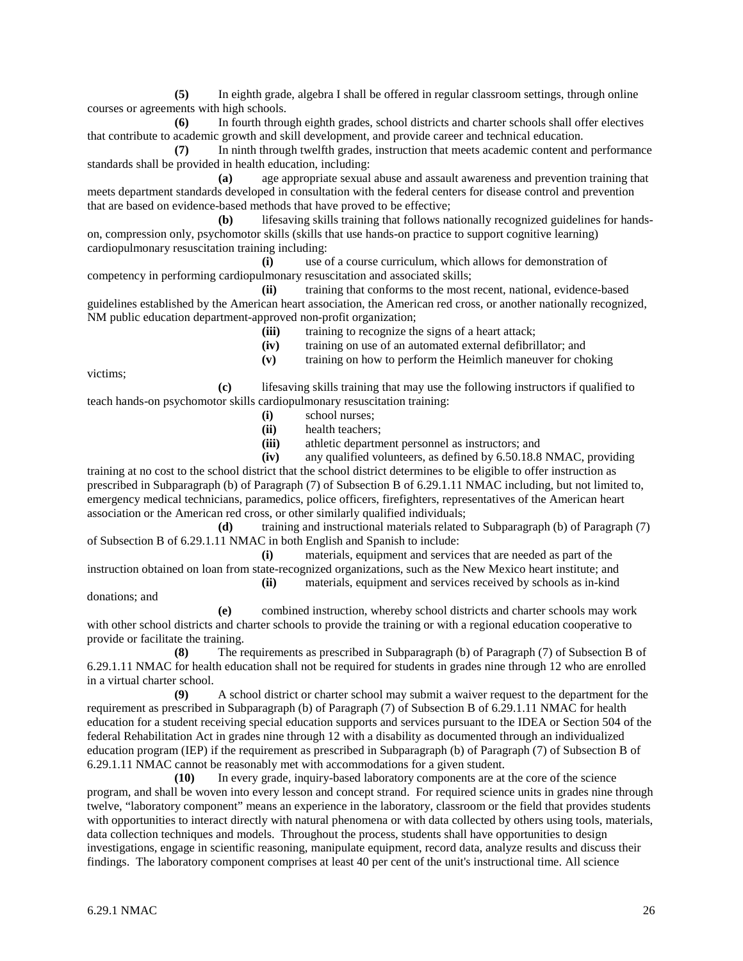**(5)** In eighth grade, algebra I shall be offered in regular classroom settings, through online courses or agreements with high schools.

**(6)** In fourth through eighth grades, school districts and charter schools shall offer electives that contribute to academic growth and skill development, and provide career and technical education.

**(7)** In ninth through twelfth grades, instruction that meets academic content and performance standards shall be provided in health education, including:

**(a)** age appropriate sexual abuse and assault awareness and prevention training that meets department standards developed in consultation with the federal centers for disease control and prevention that are based on evidence-based methods that have proved to be effective;

**(b)** lifesaving skills training that follows nationally recognized guidelines for handson, compression only, psychomotor skills (skills that use hands-on practice to support cognitive learning) cardiopulmonary resuscitation training including:

**(i)** use of a course curriculum, which allows for demonstration of competency in performing cardiopulmonary resuscitation and associated skills;

**(ii)** training that conforms to the most recent, national, evidence-based guidelines established by the American heart association, the American red cross, or another nationally recognized, NM public education department-approved non-profit organization;

(iii) training to recognize the signs of a heart attack;

**(iv)** training on use of an automated external defibrillator; and

**(v)** training on how to perform the Heimlich maneuver for choking

victims;

**(c)** lifesaving skills training that may use the following instructors if qualified to teach hands-on psychomotor skills cardiopulmonary resuscitation training:

- **(i)** school nurses;
- **(ii)** health teachers;
- **(iii)** athletic department personnel as instructors; and

**(iv)** any qualified volunteers, as defined by 6.50.18.8 NMAC, providing

training at no cost to the school district that the school district determines to be eligible to offer instruction as prescribed in Subparagraph (b) of Paragraph (7) of Subsection B of 6.29.1.11 NMAC including, but not limited to, emergency medical technicians, paramedics, police officers, firefighters, representatives of the American heart association or the American red cross, or other similarly qualified individuals;

**(d)** training and instructional materials related to Subparagraph (b) of Paragraph (7) of Subsection B of 6.29.1.11 NMAC in both English and Spanish to include:

**(i)** materials, equipment and services that are needed as part of the instruction obtained on loan from state-recognized organizations, such as the New Mexico heart institute; and

donations; and

**(ii)** materials, equipment and services received by schools as in-kind

**(e)** combined instruction, whereby school districts and charter schools may work with other school districts and charter schools to provide the training or with a regional education cooperative to provide or facilitate the training.

**(8)** The requirements as prescribed in Subparagraph (b) of Paragraph (7) of Subsection B of 6.29.1.11 NMAC for health education shall not be required for students in grades nine through 12 who are enrolled in a virtual charter school.

**(9)** A school district or charter school may submit a waiver request to the department for the requirement as prescribed in Subparagraph (b) of Paragraph (7) of Subsection B of 6.29.1.11 NMAC for health education for a student receiving special education supports and services pursuant to the IDEA or Section 504 of the federal Rehabilitation Act in grades nine through 12 with a disability as documented through an individualized education program (IEP) if the requirement as prescribed in Subparagraph (b) of Paragraph (7) of Subsection B of 6.29.1.11 NMAC cannot be reasonably met with accommodations for a given student.

**(10)** In every grade, inquiry-based laboratory components are at the core of the science program, and shall be woven into every lesson and concept strand. For required science units in grades nine through twelve, "laboratory component" means an experience in the laboratory, classroom or the field that provides students with opportunities to interact directly with natural phenomena or with data collected by others using tools, materials, data collection techniques and models. Throughout the process, students shall have opportunities to design investigations, engage in scientific reasoning, manipulate equipment, record data, analyze results and discuss their findings. The laboratory component comprises at least 40 per cent of the unit's instructional time. All science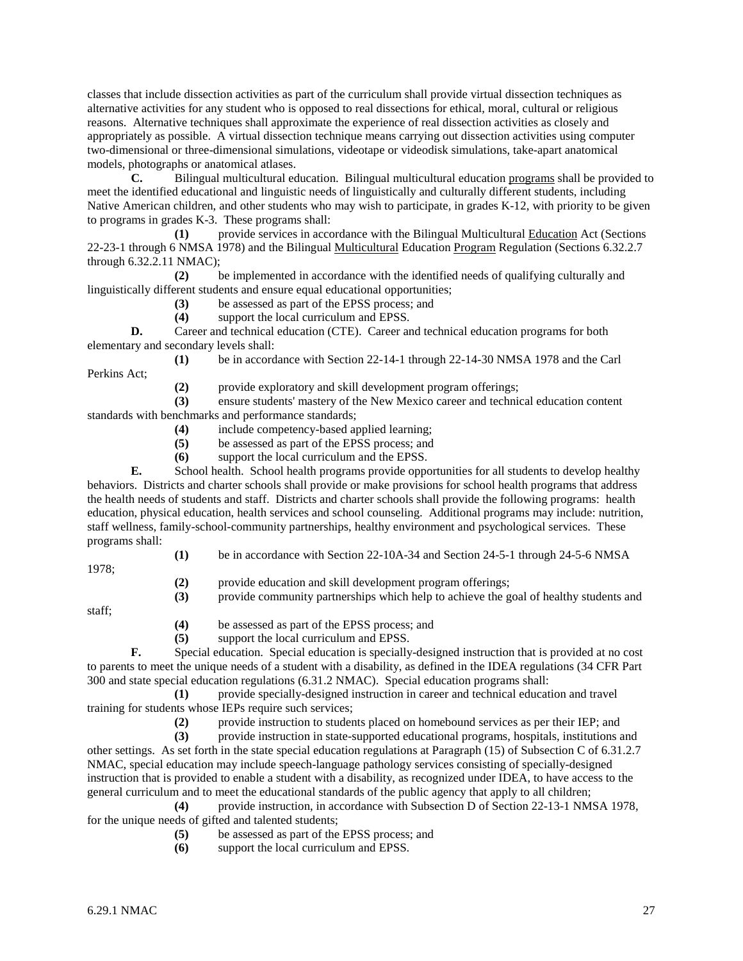classes that include dissection activities as part of the curriculum shall provide virtual dissection techniques as alternative activities for any student who is opposed to real dissections for ethical, moral, cultural or religious reasons. Alternative techniques shall approximate the experience of real dissection activities as closely and appropriately as possible. A virtual dissection technique means carrying out dissection activities using computer two-dimensional or three-dimensional simulations, videotape or videodisk simulations, take-apart anatomical models, photographs or anatomical atlases.

**C.** Bilingual multicultural education. Bilingual multicultural education programs shall be provided to meet the identified educational and linguistic needs of linguistically and culturally different students, including Native American children, and other students who may wish to participate, in grades K-12, with priority to be given to programs in grades K-3. These programs shall:

**(1)** provide services in accordance with the Bilingual Multicultural Education Act (Sections 22-23-1 through 6 NMSA 1978) and the Bilingual Multicultural Education Program Regulation (Sections 6.32.2.7 through 6.32.2.11 NMAC);

**(2)** be implemented in accordance with the identified needs of qualifying culturally and linguistically different students and ensure equal educational opportunities;

**(3)** be assessed as part of the EPSS process; and

**(4)** support the local curriculum and EPSS.

**D.** Career and technical education (CTE). Career and technical education programs for both elementary and secondary levels shall:

**(1)** be in accordance with Section 22-14-1 through 22-14-30 NMSA 1978 and the Carl Perkins Act;

**(2)** provide exploratory and skill development program offerings;

**(3)** ensure students' mastery of the New Mexico career and technical education content standards with benchmarks and performance standards;

- **(4)** include competency-based applied learning;
- **(5)** be assessed as part of the EPSS process; and
- **(6)** support the local curriculum and the EPSS.

**E.** School health. School health programs provide opportunities for all students to develop healthy behaviors. Districts and charter schools shall provide or make provisions for school health programs that address the health needs of students and staff. Districts and charter schools shall provide the following programs: health education, physical education, health services and school counseling. Additional programs may include: nutrition, staff wellness, family-school-community partnerships, healthy environment and psychological services. These programs shall:

1978;

- **(1)** be in accordance with Section 22-10A-34 and Section 24-5-1 through 24-5-6 NMSA
- **(2)** provide education and skill development program offerings;

**(3)** provide community partnerships which help to achieve the goal of healthy students and

staff;

- **(4)** be assessed as part of the EPSS process; and
- **(5)** support the local curriculum and EPSS.

**F.** Special education. Special education is specially-designed instruction that is provided at no cost to parents to meet the unique needs of a student with a disability, as defined in the IDEA regulations (34 CFR Part 300 and state special education regulations (6.31.2 NMAC). Special education programs shall:

**(1)** provide specially-designed instruction in career and technical education and travel training for students whose IEPs require such services;

(2) provide instruction to students placed on homebound services as per their IEP; and provide instruction in state-supported educational programs, hospitals, institutions a

**(3)** provide instruction in state-supported educational programs, hospitals, institutions and other settings. As set forth in the state special education regulations at Paragraph (15) of Subsection C of 6.31.2.7 NMAC, special education may include speech-language pathology services consisting of specially-designed instruction that is provided to enable a student with a disability, as recognized under IDEA, to have access to the general curriculum and to meet the educational standards of the public agency that apply to all children;

**(4)** provide instruction, in accordance with Subsection D of Section 22-13-1 NMSA 1978, for the unique needs of gifted and talented students;

- **(5)** be assessed as part of the EPSS process; and
- **(6)** support the local curriculum and EPSS.